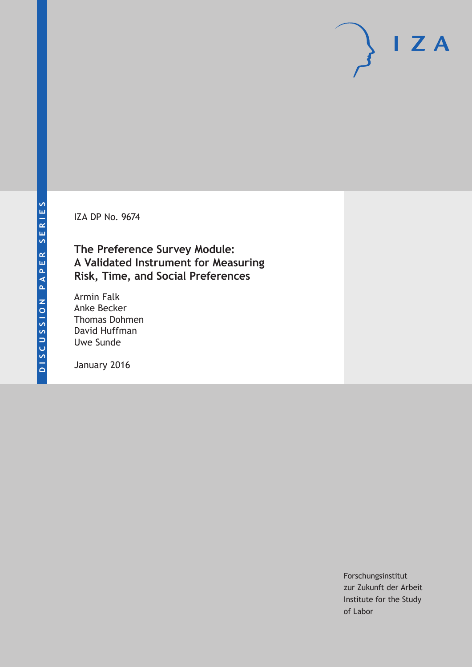IZA DP No. 9674

**The Preference Survey Module: A Validated Instrument for Measuring Risk, Time, and Social Preferences**

Armin Falk Anke Becker Thomas Dohmen David Huffman Uwe Sunde

January 2016

Forschungsinstitut zur Zukunft der Arbeit Institute for the Study of Labor

 $I Z A$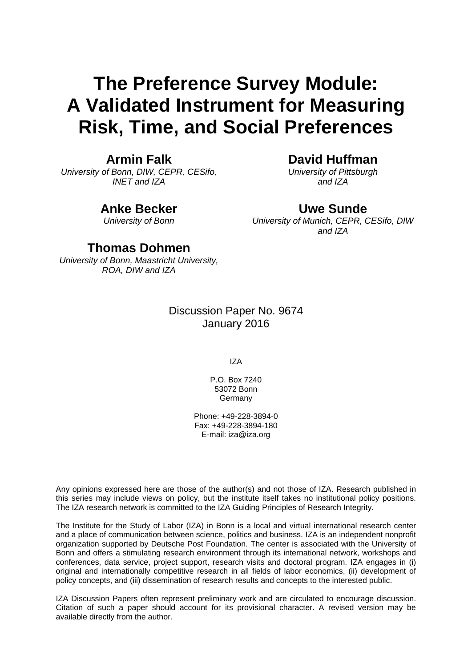# **The Preference Survey Module: A Validated Instrument for Measuring Risk, Time, and Social Preferences**

**Armin Falk** 

*University of Bonn, DIW, CEPR, CESifo, INET and IZA* 

**David Huffman** 

*University of Pittsburgh and IZA* 

**Anke Becker**  *University of Bonn* 

**Uwe Sunde** 

*University of Munich, CEPR, CESifo, DIW and IZA*

## **Thomas Dohmen**

*University of Bonn, Maastricht University, ROA, DIW and IZA*

> Discussion Paper No. 9674 January 2016

> > IZA

P.O. Box 7240 53072 Bonn **Germany** 

Phone: +49-228-3894-0 Fax: +49-228-3894-180 E-mail: iza@iza.org

Any opinions expressed here are those of the author(s) and not those of IZA. Research published in this series may include views on policy, but the institute itself takes no institutional policy positions. The IZA research network is committed to the IZA Guiding Principles of Research Integrity.

The Institute for the Study of Labor (IZA) in Bonn is a local and virtual international research center and a place of communication between science, politics and business. IZA is an independent nonprofit organization supported by Deutsche Post Foundation. The center is associated with the University of Bonn and offers a stimulating research environment through its international network, workshops and conferences, data service, project support, research visits and doctoral program. IZA engages in (i) original and internationally competitive research in all fields of labor economics, (ii) development of policy concepts, and (iii) dissemination of research results and concepts to the interested public.

IZA Discussion Papers often represent preliminary work and are circulated to encourage discussion. Citation of such a paper should account for its provisional character. A revised version may be available directly from the author.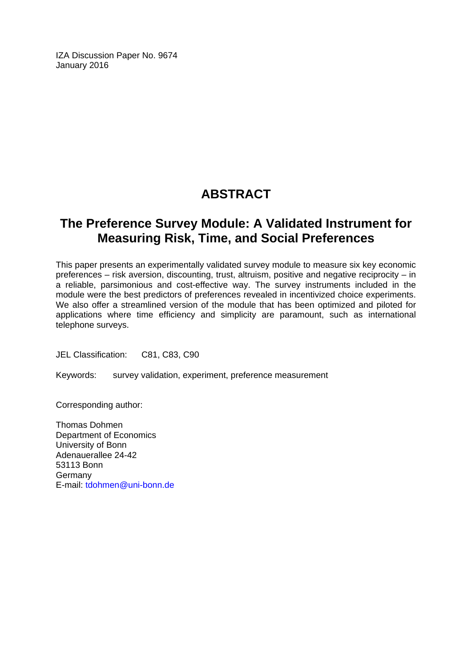IZA Discussion Paper No. 9674 January 2016

# **ABSTRACT**

# **The Preference Survey Module: A Validated Instrument for Measuring Risk, Time, and Social Preferences**

This paper presents an experimentally validated survey module to measure six key economic preferences – risk aversion, discounting, trust, altruism, positive and negative reciprocity – in a reliable, parsimonious and cost-effective way. The survey instruments included in the module were the best predictors of preferences revealed in incentivized choice experiments. We also offer a streamlined version of the module that has been optimized and piloted for applications where time efficiency and simplicity are paramount, such as international telephone surveys.

JEL Classification: C81, C83, C90

Keywords: survey validation, experiment, preference measurement

Corresponding author:

Thomas Dohmen Department of Economics University of Bonn Adenauerallee 24-42 53113 Bonn Germany E-mail: tdohmen@uni-bonn.de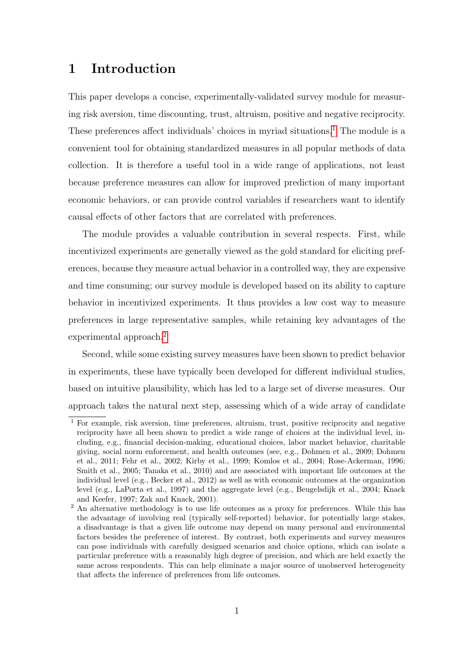# 1 Introduction

This paper develops a concise, experimentally-validated survey module for measuring risk aversion, time discounting, trust, altruism, positive and negative reciprocity. These preferences affect individuals' choices in myriad situations.<sup>[1](#page--1-0)</sup> The module is a convenient tool for obtaining standardized measures in all popular methods of data collection. It is therefore a useful tool in a wide range of applications, not least because preference measures can allow for improved prediction of many important economic behaviors, or can provide control variables if researchers want to identify causal effects of other factors that are correlated with preferences.

The module provides a valuable contribution in several respects. First, while incentivized experiments are generally viewed as the gold standard for eliciting preferences, because they measure actual behavior in a controlled way, they are expensive and time consuming; our survey module is developed based on its ability to capture behavior in incentivized experiments. It thus provides a low cost way to measure preferences in large representative samples, while retaining key advantages of the experimental approach.[2](#page--1-0)

Second, while some existing survey measures have been shown to predict behavior in experiments, these have typically been developed for different individual studies, based on intuitive plausibility, which has led to a large set of diverse measures. Our approach takes the natural next step, assessing which of a wide array of candidate

<sup>&</sup>lt;sup>1</sup> For example, risk aversion, time preferences, altruism, trust, positive reciprocity and negative reciprocity have all been shown to predict a wide range of choices at the individual level, including, e.g., financial decision-making, educational choices, labor market behavior, charitable giving, social norm enforcement, and health outcomes (see, e.g., Dohmen et al., 2009; Dohmen et al., 2011; Fehr et al., 2002; Kirby et al., 1999; Komlos et al., 2004; Rose-Ackerman, 1996; Smith et al., 2005; Tanaka et al., 2010) and are associated with important life outcomes at the individual level (e.g., Becker et al., 2012) as well as with economic outcomes at the organization level (e.g., LaPorta et al., 1997) and the aggregate level (e.g., Beugelsdijk et al., 2004; Knack and Keefer, 1997; Zak and Knack, 2001).

<sup>&</sup>lt;sup>2</sup> An alternative methodology is to use life outcomes as a proxy for preferences. While this has the advantage of involving real (typically self-reported) behavior, for potentially large stakes, a disadvantage is that a given life outcome may depend on many personal and environmental factors besides the preference of interest. By contrast, both experiments and survey measures can pose individuals with carefully designed scenarios and choice options, which can isolate a particular preference with a reasonably high degree of precision, and which are held exactly the same across respondents. This can help eliminate a major source of unobserved heterogeneity that affects the inference of preferences from life outcomes.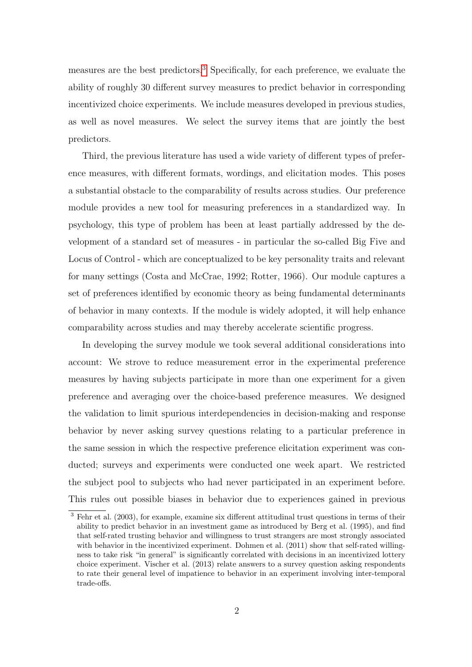measures are the best predictors.[3](#page--1-0) Specifically, for each preference, we evaluate the ability of roughly 30 different survey measures to predict behavior in corresponding incentivized choice experiments. We include measures developed in previous studies, as well as novel measures. We select the survey items that are jointly the best predictors.

Third, the previous literature has used a wide variety of different types of preference measures, with different formats, wordings, and elicitation modes. This poses a substantial obstacle to the comparability of results across studies. Our preference module provides a new tool for measuring preferences in a standardized way. In psychology, this type of problem has been at least partially addressed by the development of a standard set of measures - in particular the so-called Big Five and Locus of Control - which are conceptualized to be key personality traits and relevant for many settings (Costa and McCrae, 1992; Rotter, 1966). Our module captures a set of preferences identified by economic theory as being fundamental determinants of behavior in many contexts. If the module is widely adopted, it will help enhance comparability across studies and may thereby accelerate scientific progress.

In developing the survey module we took several additional considerations into account: We strove to reduce measurement error in the experimental preference measures by having subjects participate in more than one experiment for a given preference and averaging over the choice-based preference measures. We designed the validation to limit spurious interdependencies in decision-making and response behavior by never asking survey questions relating to a particular preference in the same session in which the respective preference elicitation experiment was conducted; surveys and experiments were conducted one week apart. We restricted the subject pool to subjects who had never participated in an experiment before. This rules out possible biases in behavior due to experiences gained in previous

<sup>3</sup> Fehr et al. (2003), for example, examine six different attitudinal trust questions in terms of their ability to predict behavior in an investment game as introduced by Berg et al. (1995), and find that self-rated trusting behavior and willingness to trust strangers are most strongly associated with behavior in the incentivized experiment. Dohmen et al. (2011) show that self-rated willingness to take risk "in general" is significantly correlated with decisions in an incentivized lottery choice experiment. Vischer et al. (2013) relate answers to a survey question asking respondents to rate their general level of impatience to behavior in an experiment involving inter-temporal trade-offs.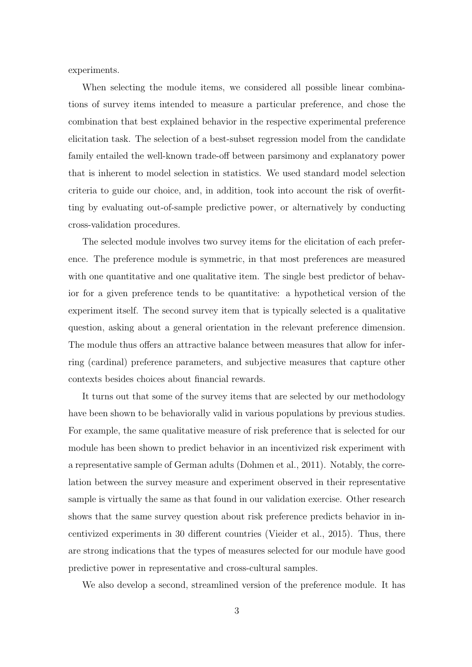experiments.

When selecting the module items, we considered all possible linear combinations of survey items intended to measure a particular preference, and chose the combination that best explained behavior in the respective experimental preference elicitation task. The selection of a best-subset regression model from the candidate family entailed the well-known trade-off between parsimony and explanatory power that is inherent to model selection in statistics. We used standard model selection criteria to guide our choice, and, in addition, took into account the risk of overfitting by evaluating out-of-sample predictive power, or alternatively by conducting cross-validation procedures.

The selected module involves two survey items for the elicitation of each preference. The preference module is symmetric, in that most preferences are measured with one quantitative and one qualitative item. The single best predictor of behavior for a given preference tends to be quantitative: a hypothetical version of the experiment itself. The second survey item that is typically selected is a qualitative question, asking about a general orientation in the relevant preference dimension. The module thus offers an attractive balance between measures that allow for inferring (cardinal) preference parameters, and subjective measures that capture other contexts besides choices about financial rewards.

It turns out that some of the survey items that are selected by our methodology have been shown to be behaviorally valid in various populations by previous studies. For example, the same qualitative measure of risk preference that is selected for our module has been shown to predict behavior in an incentivized risk experiment with a representative sample of German adults (Dohmen et al., 2011). Notably, the correlation between the survey measure and experiment observed in their representative sample is virtually the same as that found in our validation exercise. Other research shows that the same survey question about risk preference predicts behavior in incentivized experiments in 30 different countries (Vieider et al., 2015). Thus, there are strong indications that the types of measures selected for our module have good predictive power in representative and cross-cultural samples.

We also develop a second, streamlined version of the preference module. It has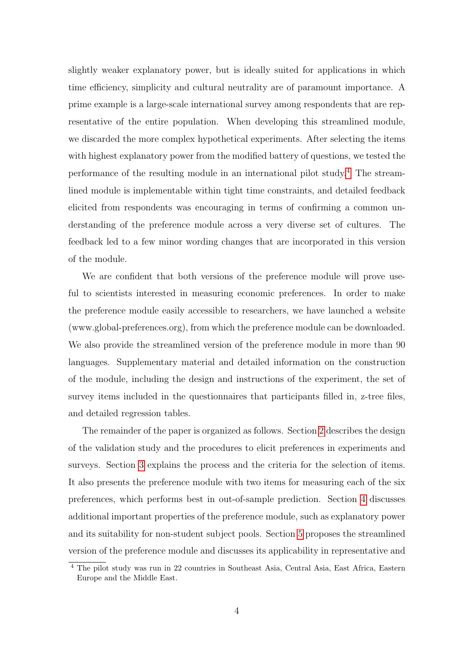slightly weaker explanatory power, but is ideally suited for applications in which time efficiency, simplicity and cultural neutrality are of paramount importance. A prime example is a large-scale international survey among respondents that are representative of the entire population. When developing this streamlined module, we discarded the more complex hypothetical experiments. After selecting the items with highest explanatory power from the modified battery of questions, we tested the performance of the resulting module in an international pilot study.[4](#page--1-0) The streamlined module is implementable within tight time constraints, and detailed feedback elicited from respondents was encouraging in terms of confirming a common understanding of the preference module across a very diverse set of cultures. The feedback led to a few minor wording changes that are incorporated in this version of the module.

We are confident that both versions of the preference module will prove useful to scientists interested in measuring economic preferences. In order to make the preference module easily accessible to researchers, we have launched a website (www.global-preferences.org), from which the preference module can be downloaded. We also provide the streamlined version of the preference module in more than 90 languages. Supplementary material and detailed information on the construction of the module, including the design and instructions of the experiment, the set of survey items included in the questionnaires that participants filled in, z-tree files, and detailed regression tables.

The remainder of the paper is organized as follows. Section [2](#page-7-0) describes the design of the validation study and the procedures to elicit preferences in experiments and surveys. Section [3](#page-12-0) explains the process and the criteria for the selection of items. It also presents the preference module with two items for measuring each of the six preferences, which performs best in out-of-sample prediction. Section [4](#page-16-0) discusses additional important properties of the preference module, such as explanatory power and its suitability for non-student subject pools. Section [5](#page-21-0) proposes the streamlined version of the preference module and discusses its applicability in representative and

<sup>4</sup> The pilot study was run in 22 countries in Southeast Asia, Central Asia, East Africa, Eastern Europe and the Middle East.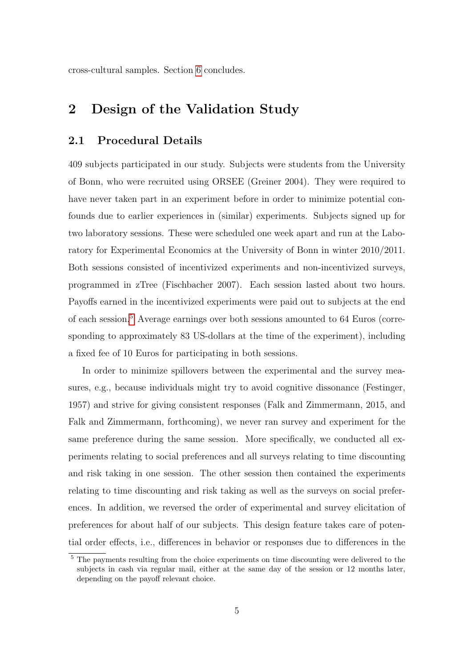cross-cultural samples. Section [6](#page-26-0) concludes.

# <span id="page-7-0"></span>2 Design of the Validation Study

#### 2.1 Procedural Details

409 subjects participated in our study. Subjects were students from the University of Bonn, who were recruited using ORSEE (Greiner 2004). They were required to have never taken part in an experiment before in order to minimize potential confounds due to earlier experiences in (similar) experiments. Subjects signed up for two laboratory sessions. These were scheduled one week apart and run at the Laboratory for Experimental Economics at the University of Bonn in winter 2010/2011. Both sessions consisted of incentivized experiments and non-incentivized surveys, programmed in zTree (Fischbacher 2007). Each session lasted about two hours. Payoffs earned in the incentivized experiments were paid out to subjects at the end of each session.[5](#page--1-0) Average earnings over both sessions amounted to 64 Euros (corresponding to approximately 83 US-dollars at the time of the experiment), including a fixed fee of 10 Euros for participating in both sessions.

In order to minimize spillovers between the experimental and the survey measures, e.g., because individuals might try to avoid cognitive dissonance (Festinger, 1957) and strive for giving consistent responses (Falk and Zimmermann, 2015, and Falk and Zimmermann, forthcoming), we never ran survey and experiment for the same preference during the same session. More specifically, we conducted all experiments relating to social preferences and all surveys relating to time discounting and risk taking in one session. The other session then contained the experiments relating to time discounting and risk taking as well as the surveys on social preferences. In addition, we reversed the order of experimental and survey elicitation of preferences for about half of our subjects. This design feature takes care of potential order effects, i.e., differences in behavior or responses due to differences in the

<sup>&</sup>lt;sup>5</sup> The payments resulting from the choice experiments on time discounting were delivered to the subjects in cash via regular mail, either at the same day of the session or 12 months later, depending on the payoff relevant choice.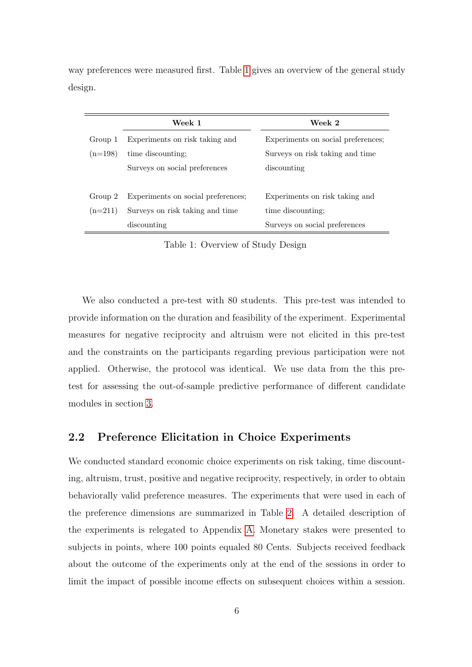way preferences were measured first. Table [1](#page-8-0) gives an overview of the general study design.

|           | Week 1                             | Week 2                             |
|-----------|------------------------------------|------------------------------------|
| Group 1   | Experiments on risk taking and     | Experiments on social preferences; |
| $(n=198)$ | time discounting:                  | Surveys on risk taking and time    |
|           | Surveys on social preferences      | discounting                        |
|           |                                    |                                    |
| Group 2   | Experiments on social preferences; | Experiments on risk taking and     |
| $(n=211)$ | Surveys on risk taking and time    | time discounting:                  |
|           | discounting                        | Surveys on social preferences      |

<span id="page-8-0"></span>Table 1: Overview of Study Design

We also conducted a pre-test with 80 students. This pre-test was intended to provide information on the duration and feasibility of the experiment. Experimental measures for negative reciprocity and altruism were not elicited in this pre-test and the constraints on the participants regarding previous participation were not applied. Otherwise, the protocol was identical. We use data from the this pretest for assessing the out-of-sample predictive performance of different candidate modules in section [3.](#page-12-0)

#### 2.2 Preference Elicitation in Choice Experiments

We conducted standard economic choice experiments on risk taking, time discounting, altruism, trust, positive and negative reciprocity, respectively, in order to obtain behaviorally valid preference measures. The experiments that were used in each of the preference dimensions are summarized in Table [2.](#page-10-0) A detailed description of the experiments is relegated to Appendix [A.](#page-33-0) Monetary stakes were presented to subjects in points, where 100 points equaled 80 Cents. Subjects received feedback about the outcome of the experiments only at the end of the sessions in order to limit the impact of possible income effects on subsequent choices within a session.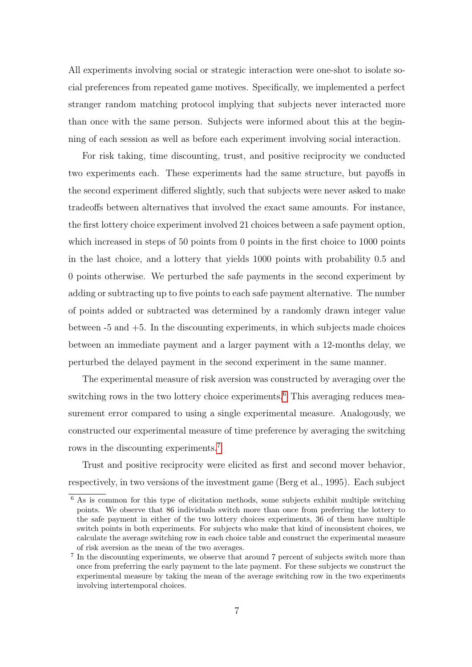All experiments involving social or strategic interaction were one-shot to isolate social preferences from repeated game motives. Specifically, we implemented a perfect stranger random matching protocol implying that subjects never interacted more than once with the same person. Subjects were informed about this at the beginning of each session as well as before each experiment involving social interaction.

For risk taking, time discounting, trust, and positive reciprocity we conducted two experiments each. These experiments had the same structure, but payoffs in the second experiment differed slightly, such that subjects were never asked to make tradeoffs between alternatives that involved the exact same amounts. For instance, the first lottery choice experiment involved 21 choices between a safe payment option, which increased in steps of 50 points from 0 points in the first choice to 1000 points in the last choice, and a lottery that yields 1000 points with probability 0.5 and 0 points otherwise. We perturbed the safe payments in the second experiment by adding or subtracting up to five points to each safe payment alternative. The number of points added or subtracted was determined by a randomly drawn integer value between  $-5$  and  $+5$ . In the discounting experiments, in which subjects made choices between an immediate payment and a larger payment with a 12-months delay, we perturbed the delayed payment in the second experiment in the same manner.

The experimental measure of risk aversion was constructed by averaging over the switching rows in the two lottery choice experiments.<sup>[6](#page--1-0)</sup> This averaging reduces measurement error compared to using a single experimental measure. Analogously, we constructed our experimental measure of time preference by averaging the switching rows in the discounting experiments.[7](#page--1-0)

Trust and positive reciprocity were elicited as first and second mover behavior, respectively, in two versions of the investment game (Berg et al., 1995). Each subject

<sup>&</sup>lt;sup>6</sup> As is common for this type of elicitation methods, some subjects exhibit multiple switching points. We observe that 86 individuals switch more than once from preferring the lottery to the safe payment in either of the two lottery choices experiments, 36 of them have multiple switch points in both experiments. For subjects who make that kind of inconsistent choices, we calculate the average switching row in each choice table and construct the experimental measure of risk aversion as the mean of the two averages.

<sup>&</sup>lt;sup>7</sup> In the discounting experiments, we observe that around 7 percent of subjects switch more than once from preferring the early payment to the late payment. For these subjects we construct the experimental measure by taking the mean of the average switching row in the two experiments involving intertemporal choices.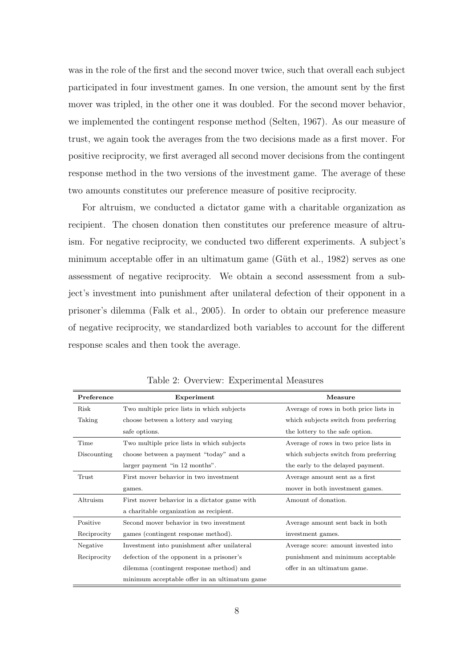was in the role of the first and the second mover twice, such that overall each subject participated in four investment games. In one version, the amount sent by the first mover was tripled, in the other one it was doubled. For the second mover behavior, we implemented the contingent response method (Selten, 1967). As our measure of trust, we again took the averages from the two decisions made as a first mover. For positive reciprocity, we first averaged all second mover decisions from the contingent response method in the two versions of the investment game. The average of these two amounts constitutes our preference measure of positive reciprocity.

For altruism, we conducted a dictator game with a charitable organization as recipient. The chosen donation then constitutes our preference measure of altruism. For negative reciprocity, we conducted two different experiments. A subject's minimum acceptable offer in an ultimatum game (Güth et al., 1982) serves as one assessment of negative reciprocity. We obtain a second assessment from a subject's investment into punishment after unilateral defection of their opponent in a prisoner's dilemma (Falk et al., 2005). In order to obtain our preference measure of negative reciprocity, we standardized both variables to account for the different response scales and then took the average.

| Preference   | Experiment                                    | Measure                                |
|--------------|-----------------------------------------------|----------------------------------------|
| Risk         | Two multiple price lists in which subjects    | Average of rows in both price lists in |
| Taking       | choose between a lottery and varying          | which subjects switch from preferring  |
|              | safe options.                                 | the lottery to the safe option.        |
| Time         | Two multiple price lists in which subjects    | Average of rows in two price lists in  |
| Discounting  | choose between a payment "today" and a        | which subjects switch from preferring  |
|              | larger payment "in 12 months".                | the early to the delayed payment.      |
| <b>Trust</b> | First mover behavior in two investment        | Average amount sent as a first         |
|              | games.                                        | mover in both investment games.        |
| Altruism     | First mover behavior in a dictator game with  | Amount of donation.                    |
|              | a charitable organization as recipient.       |                                        |
| Positive     | Second mover behavior in two investment       | Average amount sent back in both       |
| Reciprocity  | games (contingent response method).           | investment games.                      |
| Negative     | Investment into punishment after unilateral   | Average score: amount invested into    |
| Reciprocity  | defection of the opponent in a prisoner's     | punishment and minimum acceptable      |
|              | dilemma (contingent response method) and      | offer in an ultimatum game.            |
|              | minimum acceptable offer in an ultimatum game |                                        |

<span id="page-10-0"></span>Table 2: Overview: Experimental Measures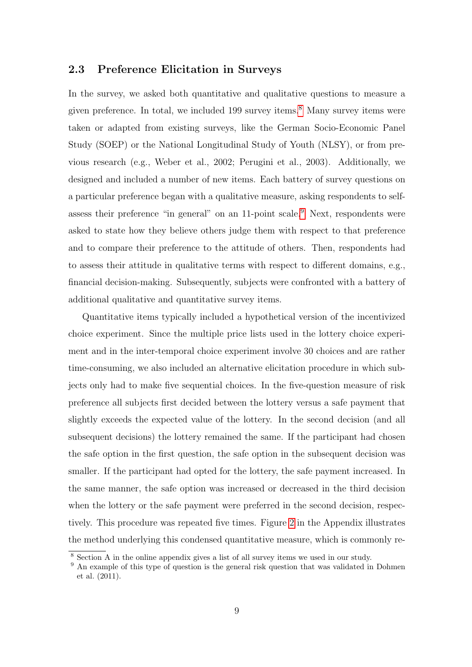#### 2.3 Preference Elicitation in Surveys

In the survey, we asked both quantitative and qualitative questions to measure a given preference. In total, we included 199 survey items.<sup>[8](#page--1-0)</sup> Many survey items were taken or adapted from existing surveys, like the German Socio-Economic Panel Study (SOEP) or the National Longitudinal Study of Youth (NLSY), or from previous research (e.g., Weber et al., 2002; Perugini et al., 2003). Additionally, we designed and included a number of new items. Each battery of survey questions on a particular preference began with a qualitative measure, asking respondents to self-assess their preference "in general" on an 11-point scale.<sup>[9](#page--1-0)</sup> Next, respondents were asked to state how they believe others judge them with respect to that preference and to compare their preference to the attitude of others. Then, respondents had to assess their attitude in qualitative terms with respect to different domains, e.g., financial decision-making. Subsequently, subjects were confronted with a battery of additional qualitative and quantitative survey items.

Quantitative items typically included a hypothetical version of the incentivized choice experiment. Since the multiple price lists used in the lottery choice experiment and in the inter-temporal choice experiment involve 30 choices and are rather time-consuming, we also included an alternative elicitation procedure in which subjects only had to make five sequential choices. In the five-question measure of risk preference all subjects first decided between the lottery versus a safe payment that slightly exceeds the expected value of the lottery. In the second decision (and all subsequent decisions) the lottery remained the same. If the participant had chosen the safe option in the first question, the safe option in the subsequent decision was smaller. If the participant had opted for the lottery, the safe payment increased. In the same manner, the safe option was increased or decreased in the third decision when the lottery or the safe payment were preferred in the second decision, respectively. This procedure was repeated five times. Figure [2](#page-62-0) in the Appendix illustrates the method underlying this condensed quantitative measure, which is commonly re-

<sup>8</sup> Section A in the online appendix gives a list of all survey items we used in our study.

<sup>&</sup>lt;sup>9</sup> An example of this type of question is the general risk question that was validated in Dohmen et al. (2011).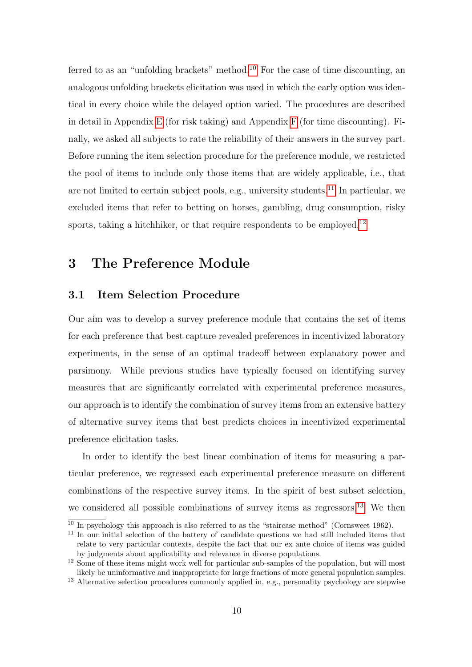ferred to as an "unfolding brackets" method.<sup>[10](#page--1-0)</sup> For the case of time discounting, an analogous unfolding brackets elicitation was used in which the early option was identical in every choice while the delayed option varied. The procedures are described in detail in Appendix [E](#page-55-0) (for risk taking) and Appendix [F](#page-63-0) (for time discounting). Finally, we asked all subjects to rate the reliability of their answers in the survey part. Before running the item selection procedure for the preference module, we restricted the pool of items to include only those items that are widely applicable, i.e., that are not limited to certain subject pools, e.g., university students.<sup>[11](#page--1-0)</sup> In particular, we excluded items that refer to betting on horses, gambling, drug consumption, risky sports, taking a hitchhiker, or that require respondents to be employed.<sup>[12](#page--1-0)</sup>

# <span id="page-12-0"></span>3 The Preference Module

#### 3.1 Item Selection Procedure

Our aim was to develop a survey preference module that contains the set of items for each preference that best capture revealed preferences in incentivized laboratory experiments, in the sense of an optimal tradeoff between explanatory power and parsimony. While previous studies have typically focused on identifying survey measures that are significantly correlated with experimental preference measures, our approach is to identify the combination of survey items from an extensive battery of alternative survey items that best predicts choices in incentivized experimental preference elicitation tasks.

In order to identify the best linear combination of items for measuring a particular preference, we regressed each experimental preference measure on different combinations of the respective survey items. In the spirit of best subset selection, we considered all possible combinations of survey items as regressors.<sup>[13](#page--1-0)</sup> We then

 $\overline{10}$  In psychology this approach is also referred to as the "staircase method" (Cornsweet 1962).

<sup>&</sup>lt;sup>11</sup> In our initial selection of the battery of candidate questions we had still included items that relate to very particular contexts, despite the fact that our ex ante choice of items was guided by judgments about applicability and relevance in diverse populations.

<sup>&</sup>lt;sup>12</sup> Some of these items might work well for particular sub-samples of the population, but will most likely be uninformative and inappropriate for large fractions of more general population samples.

<sup>&</sup>lt;sup>13</sup> Alternative selection procedures commonly applied in, e.g., personality psychology are stepwise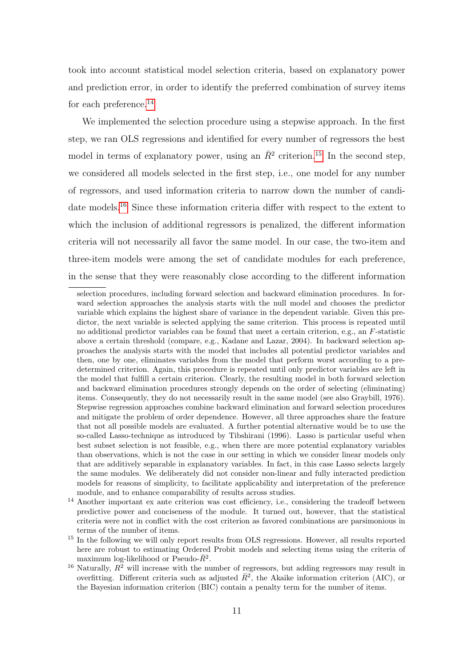took into account statistical model selection criteria, based on explanatory power and prediction error, in order to identify the preferred combination of survey items for each preference.<sup>[14](#page--1-0)</sup>

We implemented the selection procedure using a stepwise approach. In the first step, we ran OLS regressions and identified for every number of regressors the best model in terms of explanatory power, using an  $\bar{R}^2$  criterion.<sup>[15](#page--1-0)</sup> In the second step, we considered all models selected in the first step, i.e., one model for any number of regressors, and used information criteria to narrow down the number of candidate models.[16](#page--1-0) Since these information criteria differ with respect to the extent to which the inclusion of additional regressors is penalized, the different information criteria will not necessarily all favor the same model. In our case, the two-item and three-item models were among the set of candidate modules for each preference, in the sense that they were reasonably close according to the different information

selection procedures, including forward selection and backward elimination procedures. In forward selection approaches the analysis starts with the null model and chooses the predictor variable which explains the highest share of variance in the dependent variable. Given this predictor, the next variable is selected applying the same criterion. This process is repeated until no additional predictor variables can be found that meet a certain criterion, e.g., an F-statistic above a certain threshold (compare, e.g., Kadane and Lazar, 2004). In backward selection approaches the analysis starts with the model that includes all potential predictor variables and then, one by one, eliminates variables from the model that perform worst according to a predetermined criterion. Again, this procedure is repeated until only predictor variables are left in the model that fulfill a certain criterion. Clearly, the resulting model in both forward selection and backward elimination procedures strongly depends on the order of selecting (eliminating) items. Consequently, they do not necessarily result in the same model (see also Graybill, 1976). Stepwise regression approaches combine backward elimination and forward selection procedures and mitigate the problem of order dependence. However, all three approaches share the feature that not all possible models are evaluated. A further potential alternative would be to use the so-called Lasso-technique as introduced by Tibshirani (1996). Lasso is particular useful when best subset selection is not feasible, e.g., when there are more potential explanatory variables than observations, which is not the case in our setting in which we consider linear models only that are additively separable in explanatory variables. In fact, in this case Lasso selects largely the same modules. We deliberately did not consider non-linear and fully interacted prediction models for reasons of simplicity, to facilitate applicability and interpretation of the preference module, and to enhance comparability of results across studies.

<sup>&</sup>lt;sup>14</sup> Another important ex ante criterion was cost efficiency, i.e., considering the tradeoff between predictive power and conciseness of the module. It turned out, however, that the statistical criteria were not in conflict with the cost criterion as favored combinations are parsimonious in terms of the number of items.

<sup>&</sup>lt;sup>15</sup> In the following we will only report results from OLS regressions. However, all results reported here are robust to estimating Ordered Probit models and selecting items using the criteria of maximum log-likelihood or Pseudo- $\bar{R}^2$ .

<sup>&</sup>lt;sup>16</sup> Naturally,  $R^2$  will increase with the number of regressors, but adding regressors may result in overfitting. Different criteria such as adjusted  $\bar{R}^2$ , the Akaike information criterion (AIC), or the Bayesian information criterion (BIC) contain a penalty term for the number of items.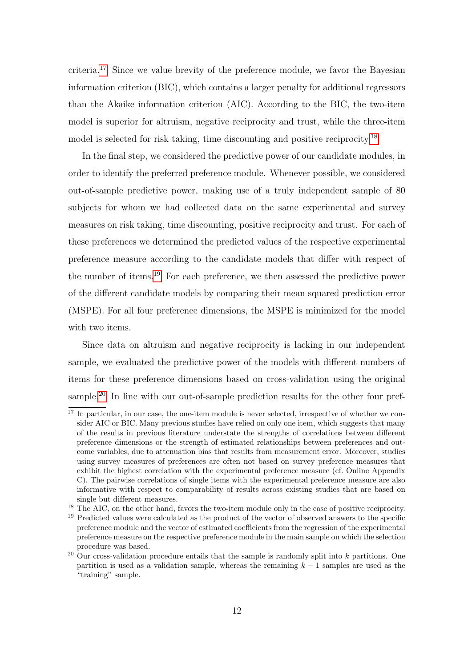criteria.[17](#page--1-0) Since we value brevity of the preference module, we favor the Bayesian information criterion (BIC), which contains a larger penalty for additional regressors than the Akaike information criterion (AIC). According to the BIC, the two-item model is superior for altruism, negative reciprocity and trust, while the three-item model is selected for risk taking, time discounting and positive reciprocity.<sup>[18](#page--1-0)</sup>

In the final step, we considered the predictive power of our candidate modules, in order to identify the preferred preference module. Whenever possible, we considered out-of-sample predictive power, making use of a truly independent sample of 80 subjects for whom we had collected data on the same experimental and survey measures on risk taking, time discounting, positive reciprocity and trust. For each of these preferences we determined the predicted values of the respective experimental preference measure according to the candidate models that differ with respect of the number of items.[19](#page--1-0) For each preference, we then assessed the predictive power of the different candidate models by comparing their mean squared prediction error (MSPE). For all four preference dimensions, the MSPE is minimized for the model with two items.

Since data on altruism and negative reciprocity is lacking in our independent sample, we evaluated the predictive power of the models with different numbers of items for these preference dimensions based on cross-validation using the original sample.<sup>[20](#page--1-0)</sup> In line with our out-of-sample prediction results for the other four pref-

 $\frac{17}{17}$  In particular, in our case, the one-item module is never selected, irrespective of whether we consider AIC or BIC. Many previous studies have relied on only one item, which suggests that many of the results in previous literature understate the strengths of correlations between different preference dimensions or the strength of estimated relationships between preferences and outcome variables, due to attenuation bias that results from measurement error. Moreover, studies using survey measures of preferences are often not based on survey preference measures that exhibit the highest correlation with the experimental preference measure (cf. Online Appendix C). The pairwise correlations of single items with the experimental preference measure are also informative with respect to comparability of results across existing studies that are based on single but different measures.

<sup>&</sup>lt;sup>18</sup> The AIC, on the other hand, favors the two-item module only in the case of positive reciprocity. <sup>19</sup> Predicted values were calculated as the product of the vector of observed answers to the specific preference module and the vector of estimated coefficients from the regression of the experimental preference measure on the respective preference module in the main sample on which the selection procedure was based.

<sup>&</sup>lt;sup>20</sup> Our cross-validation procedure entails that the sample is randomly split into  $k$  partitions. One partition is used as a validation sample, whereas the remaining  $k - 1$  samples are used as the "training" sample.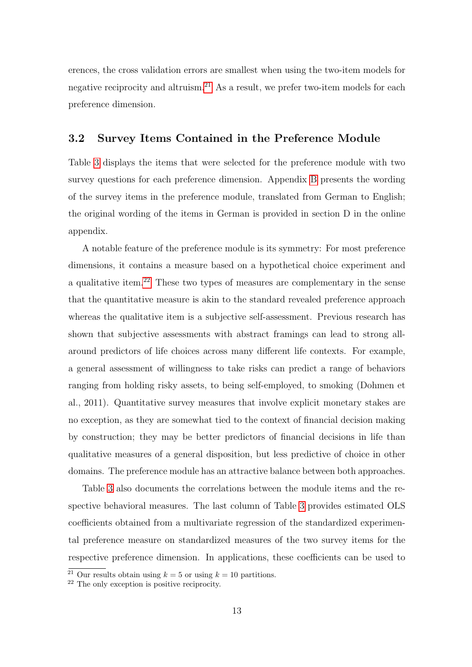erences, the cross validation errors are smallest when using the two-item models for negative reciprocity and altruism.<sup>[21](#page--1-0)</sup> As a result, we prefer two-item models for each preference dimension.

#### 3.2 Survey Items Contained in the Preference Module

Table [3](#page-17-0) displays the items that were selected for the preference module with two survey questions for each preference dimension. Appendix [B](#page-37-0) presents the wording of the survey items in the preference module, translated from German to English; the original wording of the items in German is provided in section D in the online appendix.

A notable feature of the preference module is its symmetry: For most preference dimensions, it contains a measure based on a hypothetical choice experiment and a qualitative item.[22](#page--1-0) These two types of measures are complementary in the sense that the quantitative measure is akin to the standard revealed preference approach whereas the qualitative item is a subjective self-assessment. Previous research has shown that subjective assessments with abstract framings can lead to strong allaround predictors of life choices across many different life contexts. For example, a general assessment of willingness to take risks can predict a range of behaviors ranging from holding risky assets, to being self-employed, to smoking (Dohmen et al., 2011). Quantitative survey measures that involve explicit monetary stakes are no exception, as they are somewhat tied to the context of financial decision making by construction; they may be better predictors of financial decisions in life than qualitative measures of a general disposition, but less predictive of choice in other domains. The preference module has an attractive balance between both approaches.

Table [3](#page-17-0) also documents the correlations between the module items and the respective behavioral measures. The last column of Table [3](#page-17-0) provides estimated OLS coefficients obtained from a multivariate regression of the standardized experimental preference measure on standardized measures of the two survey items for the respective preference dimension. In applications, these coefficients can be used to

<sup>&</sup>lt;sup>21</sup> Our results obtain using  $k = 5$  or using  $k = 10$  partitions.

<sup>22</sup> The only exception is positive reciprocity.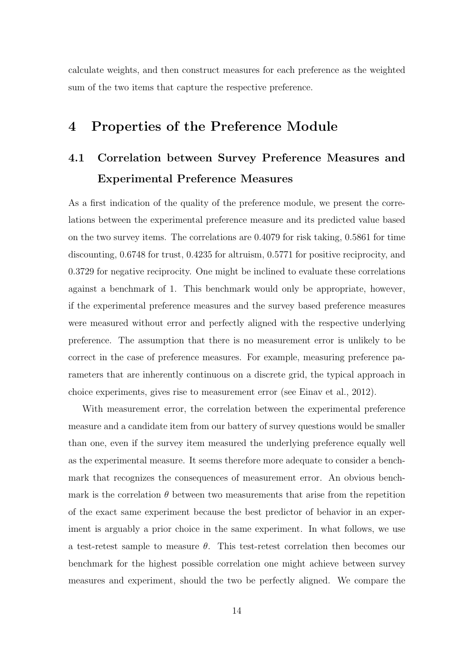calculate weights, and then construct measures for each preference as the weighted sum of the two items that capture the respective preference.

## <span id="page-16-0"></span>4 Properties of the Preference Module

# 4.1 Correlation between Survey Preference Measures and Experimental Preference Measures

As a first indication of the quality of the preference module, we present the correlations between the experimental preference measure and its predicted value based on the two survey items. The correlations are 0.4079 for risk taking, 0.5861 for time discounting, 0.6748 for trust, 0.4235 for altruism, 0.5771 for positive reciprocity, and 0.3729 for negative reciprocity. One might be inclined to evaluate these correlations against a benchmark of 1. This benchmark would only be appropriate, however, if the experimental preference measures and the survey based preference measures were measured without error and perfectly aligned with the respective underlying preference. The assumption that there is no measurement error is unlikely to be correct in the case of preference measures. For example, measuring preference parameters that are inherently continuous on a discrete grid, the typical approach in choice experiments, gives rise to measurement error (see Einav et al., 2012).

With measurement error, the correlation between the experimental preference measure and a candidate item from our battery of survey questions would be smaller than one, even if the survey item measured the underlying preference equally well as the experimental measure. It seems therefore more adequate to consider a benchmark that recognizes the consequences of measurement error. An obvious benchmark is the correlation  $\theta$  between two measurements that arise from the repetition of the exact same experiment because the best predictor of behavior in an experiment is arguably a prior choice in the same experiment. In what follows, we use a test-retest sample to measure  $\theta$ . This test-retest correlation then becomes our benchmark for the highest possible correlation one might achieve between survey measures and experiment, should the two be perfectly aligned. We compare the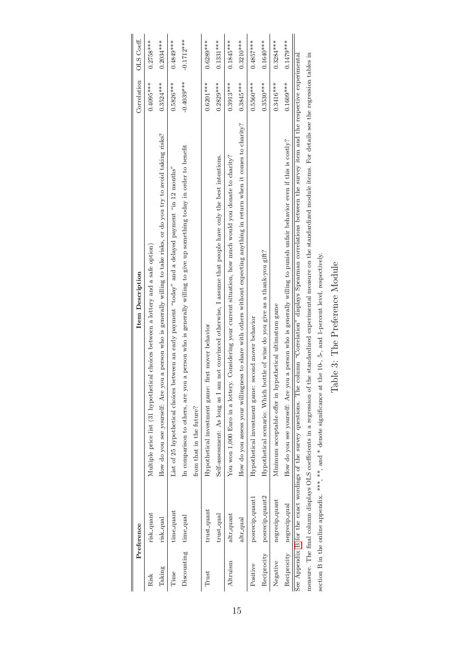<span id="page-17-0"></span>

|             | Preference                 | Item Description                                                                                                                                                                        | Correlation  | OLS Coeff.   |
|-------------|----------------------------|-----------------------------------------------------------------------------------------------------------------------------------------------------------------------------------------|--------------|--------------|
| Risk        | risk <sub>-quant</sub>     | Multiple price list (31 hypothetical choices between a lottery and a safe option)                                                                                                       | $0.4095***$  | $0.2758***$  |
| Taking      | risk <sub>-qual</sub>      | How do you see yourself: Are you a person who is generally willing to take risks, or do you try to avoid taking risks?                                                                  | $0.3524***$  | $0.2034***$  |
| Time        | time <sub>-quant</sub>     | List of 25 hypothetical choices between an early payment "today" and a delayed payment "in 12 months"                                                                                   | $0.5826***$  | $0.4849***$  |
| Discounting | time_qual                  | In comparison to others, are you a person who is generally willing to give up something today in order to benefit                                                                       | $-0.4039***$ | $-0.1712***$ |
|             |                            | from that in the future?                                                                                                                                                                |              |              |
| Trust       | trust_quant                | first mover behavior<br>Hypothetical investment game:                                                                                                                                   | $0.6201***$  | $0.6289***$  |
|             | trust <sub>-qual</sub>     | Self-assessment: As long as I am not convinced otherwise, I assume that people have only the best intentions.                                                                           | $0.2829***$  | $0.1331***$  |
| Altruism    | altr_quant                 | You won 1,000 Euro in a lottery. Considering your current situation, how much would you donate to charity?                                                                              | $0.3913***$  | $0.1845***$  |
|             | altr <sub>-qual</sub>      | How do you assess your willingness to share with others without expecting anything in return when it comes to charity?                                                                  | $0.3845***$  | $0.3210***$  |
| Positive    | posrecip <sub>-quant</sub> | second mover behavior<br>Hypothetical investment game:                                                                                                                                  | $0.5560***$  | $0.4857***$  |
| Reciprocity | posrecip_quant2            | bottle of wine do you give as a thank-you gift?<br>Hypothetical scenario: Which                                                                                                         | $0.3530***$  | $0.1640***$  |
| Negative    | negrecip <sub>-quant</sub> | Minimum acceptable offer in hypothetical ultimatum game                                                                                                                                 | $0.3416***$  | $0.3284***$  |
| Reciprocity | negrecip_qual              | ou a person who is generally willing to punish unfair behavior even if this is $\cosh y$ ?<br>How do you see yourself: Are y                                                            | $0.1609***$  | $0.1479***$  |
|             |                            | See Appendix B for the exact wordings of the survey questions. The column "Correlation" displays Spearman correlations between the survey item and the respective experimental          |              |              |
|             |                            | measure. The final column displays OLS coefficients in a regression of the standardized experimental measure on the standardized module items. For details see the regression tables in |              |              |
|             |                            | section B in the online appendix. ***, **, and * denote significance at the 10-, 5-, and 1-percent level, respectively.                                                                 |              |              |

# Table 3: The Preference Module Table 3: The Preference Module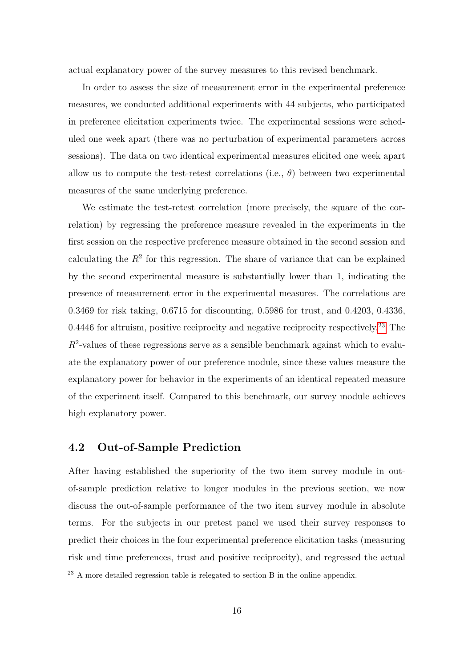actual explanatory power of the survey measures to this revised benchmark.

In order to assess the size of measurement error in the experimental preference measures, we conducted additional experiments with 44 subjects, who participated in preference elicitation experiments twice. The experimental sessions were scheduled one week apart (there was no perturbation of experimental parameters across sessions). The data on two identical experimental measures elicited one week apart allow us to compute the test-retest correlations (i.e.,  $\theta$ ) between two experimental measures of the same underlying preference.

We estimate the test-retest correlation (more precisely, the square of the correlation) by regressing the preference measure revealed in the experiments in the first session on the respective preference measure obtained in the second session and calculating the  $R<sup>2</sup>$  for this regression. The share of variance that can be explained by the second experimental measure is substantially lower than 1, indicating the presence of measurement error in the experimental measures. The correlations are 0.3469 for risk taking, 0.6715 for discounting, 0.5986 for trust, and 0.4203, 0.4336, 0.4446 for altruism, positive reciprocity and negative reciprocity respectively.<sup>[23](#page--1-0)</sup> The  $R<sup>2</sup>$ -values of these regressions serve as a sensible benchmark against which to evaluate the explanatory power of our preference module, since these values measure the explanatory power for behavior in the experiments of an identical repeated measure of the experiment itself. Compared to this benchmark, our survey module achieves high explanatory power.

#### 4.2 Out-of-Sample Prediction

After having established the superiority of the two item survey module in outof-sample prediction relative to longer modules in the previous section, we now discuss the out-of-sample performance of the two item survey module in absolute terms. For the subjects in our pretest panel we used their survey responses to predict their choices in the four experimental preference elicitation tasks (measuring risk and time preferences, trust and positive reciprocity), and regressed the actual

<sup>&</sup>lt;sup>23</sup> A more detailed regression table is relegated to section B in the online appendix.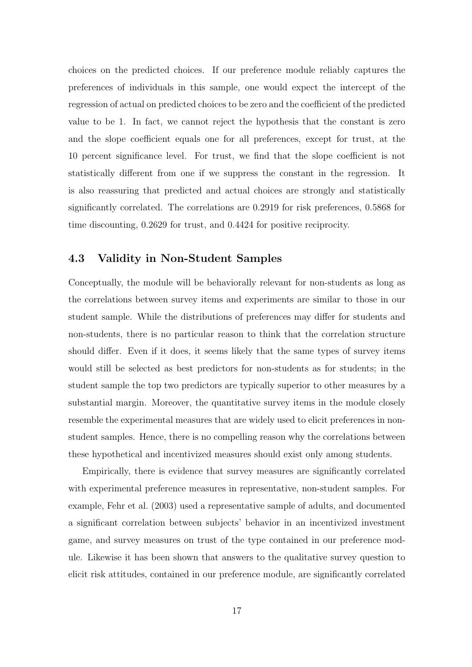choices on the predicted choices. If our preference module reliably captures the preferences of individuals in this sample, one would expect the intercept of the regression of actual on predicted choices to be zero and the coefficient of the predicted value to be 1. In fact, we cannot reject the hypothesis that the constant is zero and the slope coefficient equals one for all preferences, except for trust, at the 10 percent significance level. For trust, we find that the slope coefficient is not statistically different from one if we suppress the constant in the regression. It is also reassuring that predicted and actual choices are strongly and statistically significantly correlated. The correlations are 0.2919 for risk preferences, 0.5868 for time discounting, 0.2629 for trust, and 0.4424 for positive reciprocity.

### 4.3 Validity in Non-Student Samples

Conceptually, the module will be behaviorally relevant for non-students as long as the correlations between survey items and experiments are similar to those in our student sample. While the distributions of preferences may differ for students and non-students, there is no particular reason to think that the correlation structure should differ. Even if it does, it seems likely that the same types of survey items would still be selected as best predictors for non-students as for students; in the student sample the top two predictors are typically superior to other measures by a substantial margin. Moreover, the quantitative survey items in the module closely resemble the experimental measures that are widely used to elicit preferences in nonstudent samples. Hence, there is no compelling reason why the correlations between these hypothetical and incentivized measures should exist only among students.

Empirically, there is evidence that survey measures are significantly correlated with experimental preference measures in representative, non-student samples. For example, Fehr et al. (2003) used a representative sample of adults, and documented a significant correlation between subjects' behavior in an incentivized investment game, and survey measures on trust of the type contained in our preference module. Likewise it has been shown that answers to the qualitative survey question to elicit risk attitudes, contained in our preference module, are significantly correlated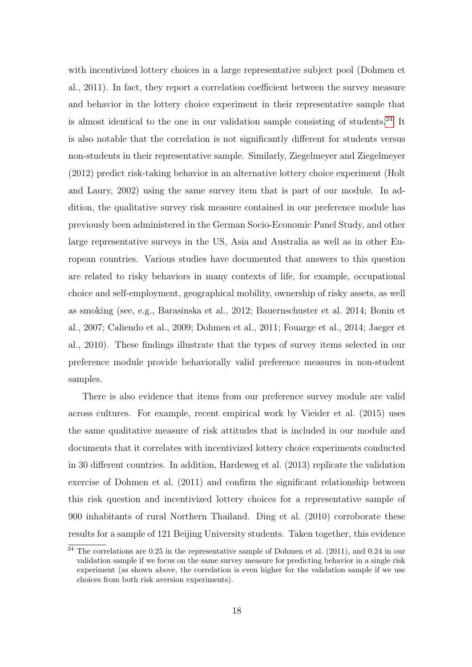with incentivized lottery choices in a large representative subject pool (Dohmen et al., 2011). In fact, they report a correlation coefficient between the survey measure and behavior in the lottery choice experiment in their representative sample that is almost identical to the one in our validation sample consisting of students.[24](#page--1-0) It is also notable that the correlation is not significantly different for students versus non-students in their representative sample. Similarly, Ziegelmeyer and Ziegelmeyer (2012) predict risk-taking behavior in an alternative lottery choice experiment (Holt and Laury, 2002) using the same survey item that is part of our module. In addition, the qualitative survey risk measure contained in our preference module has previously been administered in the German Socio-Economic Panel Study, and other large representative surveys in the US, Asia and Australia as well as in other European countries. Various studies have documented that answers to this question are related to risky behaviors in many contexts of life, for example, occupational choice and self-employment, geographical mobility, ownership of risky assets, as well as smoking (see, e.g., Barasinska et al., 2012; Bauernschuster et al. 2014; Bonin et al., 2007; Caliendo et al., 2009; Dohmen et al., 2011; Fouarge et al., 2014; Jaeger et al., 2010). These findings illustrate that the types of survey items selected in our preference module provide behaviorally valid preference measures in non-student samples.

There is also evidence that items from our preference survey module are valid across cultures. For example, recent empirical work by Vieider et al. (2015) uses the same qualitative measure of risk attitudes that is included in our module and documents that it correlates with incentivized lottery choice experiments conducted in 30 different countries. In addition, Hardeweg et al. (2013) replicate the validation exercise of Dohmen et al. (2011) and confirm the significant relationship between this risk question and incentivized lottery choices for a representative sample of 900 inhabitants of rural Northern Thailand. Ding et al. (2010) corroborate these results for a sample of 121 Beijing University students. Taken together, this evidence

<sup>&</sup>lt;sup>24</sup> The correlations are 0.25 in the representative sample of Dohmen et al. (2011), and 0.24 in our validation sample if we focus on the same survey measure for predicting behavior in a single risk experiment (as shown above, the correlation is even higher for the validation sample if we use choices from both risk aversion experiments).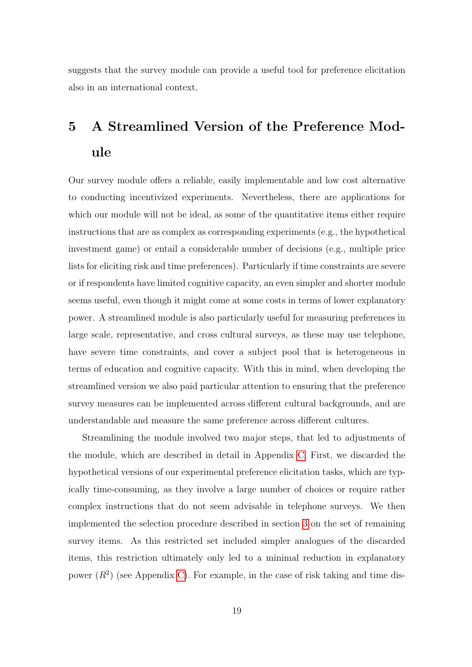suggests that the survey module can provide a useful tool for preference elicitation also in an international context.

# <span id="page-21-0"></span>5 A Streamlined Version of the Preference Module

Our survey module offers a reliable, easily implementable and low cost alternative to conducting incentivized experiments. Nevertheless, there are applications for which our module will not be ideal, as some of the quantitative items either require instructions that are as complex as corresponding experiments (e.g., the hypothetical investment game) or entail a considerable number of decisions (e.g., multiple price lists for eliciting risk and time preferences). Particularly if time constraints are severe or if respondents have limited cognitive capacity, an even simpler and shorter module seems useful, even though it might come at some costs in terms of lower explanatory power. A streamlined module is also particularly useful for measuring preferences in large scale, representative, and cross cultural surveys, as these may use telephone, have severe time constraints, and cover a subject pool that is heterogeneous in terms of education and cognitive capacity. With this in mind, when developing the streamlined version we also paid particular attention to ensuring that the preference survey measures can be implemented across different cultural backgrounds, and are understandable and measure the same preference across different cultures.

Streamlining the module involved two major steps, that led to adjustments of the module, which are described in detail in Appendix [C.](#page-41-0) First, we discarded the hypothetical versions of our experimental preference elicitation tasks, which are typically time-consuming, as they involve a large number of choices or require rather complex instructions that do not seem advisable in telephone surveys. We then implemented the selection procedure described in section [3](#page-12-0) on the set of remaining survey items. As this restricted set included simpler analogues of the discarded items, this restriction ultimately only led to a minimal reduction in explanatory power  $(R^2)$  (see Appendix [C\)](#page-41-0). For example, in the case of risk taking and time dis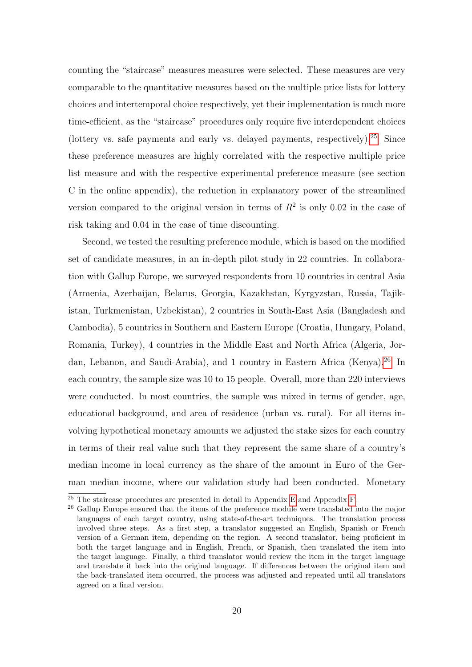counting the "staircase" measures measures were selected. These measures are very comparable to the quantitative measures based on the multiple price lists for lottery choices and intertemporal choice respectively, yet their implementation is much more time-efficient, as the "staircase" procedures only require five interdependent choices (lottery vs. safe payments and early vs. delayed payments, respectively).<sup>[25](#page--1-0)</sup> Since these preference measures are highly correlated with the respective multiple price list measure and with the respective experimental preference measure (see section C in the online appendix), the reduction in explanatory power of the streamlined version compared to the original version in terms of  $R^2$  is only 0.02 in the case of risk taking and 0.04 in the case of time discounting.

Second, we tested the resulting preference module, which is based on the modified set of candidate measures, in an in-depth pilot study in 22 countries. In collaboration with Gallup Europe, we surveyed respondents from 10 countries in central Asia (Armenia, Azerbaijan, Belarus, Georgia, Kazakhstan, Kyrgyzstan, Russia, Tajikistan, Turkmenistan, Uzbekistan), 2 countries in South-East Asia (Bangladesh and Cambodia), 5 countries in Southern and Eastern Europe (Croatia, Hungary, Poland, Romania, Turkey), 4 countries in the Middle East and North Africa (Algeria, Jor-dan, Lebanon, and Saudi-Arabia), and 1 country in Eastern Africa (Kenya).<sup>[26](#page--1-0)</sup> In each country, the sample size was 10 to 15 people. Overall, more than 220 interviews were conducted. In most countries, the sample was mixed in terms of gender, age, educational background, and area of residence (urban vs. rural). For all items involving hypothetical monetary amounts we adjusted the stake sizes for each country in terms of their real value such that they represent the same share of a country's median income in local currency as the share of the amount in Euro of the German median income, where our validation study had been conducted. Monetary

 $25$  The staircase procedures are presented in detail in Appendix [E](#page-55-0) and Appendix [F.](#page-63-0)

<sup>&</sup>lt;sup>26</sup> Gallup Europe ensured that the items of the preference module were translated into the major languages of each target country, using state-of-the-art techniques. The translation process involved three steps. As a first step, a translator suggested an English, Spanish or French version of a German item, depending on the region. A second translator, being proficient in both the target language and in English, French, or Spanish, then translated the item into the target language. Finally, a third translator would review the item in the target language and translate it back into the original language. If differences between the original item and the back-translated item occurred, the process was adjusted and repeated until all translators agreed on a final version.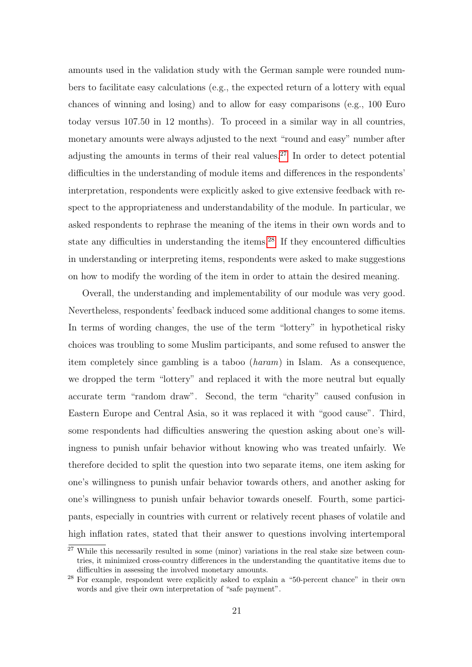amounts used in the validation study with the German sample were rounded numbers to facilitate easy calculations (e.g., the expected return of a lottery with equal chances of winning and losing) and to allow for easy comparisons (e.g., 100 Euro today versus 107.50 in 12 months). To proceed in a similar way in all countries, monetary amounts were always adjusted to the next "round and easy" number after adjusting the amounts in terms of their real values.<sup>[27](#page--1-0)</sup> In order to detect potential difficulties in the understanding of module items and differences in the respondents' interpretation, respondents were explicitly asked to give extensive feedback with respect to the appropriateness and understandability of the module. In particular, we asked respondents to rephrase the meaning of the items in their own words and to state any difficulties in understanding the items.<sup>[28](#page--1-0)</sup> If they encountered difficulties in understanding or interpreting items, respondents were asked to make suggestions on how to modify the wording of the item in order to attain the desired meaning.

Overall, the understanding and implementability of our module was very good. Nevertheless, respondents' feedback induced some additional changes to some items. In terms of wording changes, the use of the term "lottery" in hypothetical risky choices was troubling to some Muslim participants, and some refused to answer the item completely since gambling is a taboo (haram) in Islam. As a consequence, we dropped the term "lottery" and replaced it with the more neutral but equally accurate term "random draw". Second, the term "charity" caused confusion in Eastern Europe and Central Asia, so it was replaced it with "good cause". Third, some respondents had difficulties answering the question asking about one's willingness to punish unfair behavior without knowing who was treated unfairly. We therefore decided to split the question into two separate items, one item asking for one's willingness to punish unfair behavior towards others, and another asking for one's willingness to punish unfair behavior towards oneself. Fourth, some participants, especially in countries with current or relatively recent phases of volatile and high inflation rates, stated that their answer to questions involving intertemporal

<sup>&</sup>lt;sup>27</sup> While this necessarily resulted in some (minor) variations in the real stake size between countries, it minimized cross-country differences in the understanding the quantitative items due to difficulties in assessing the involved monetary amounts.

<sup>28</sup> For example, respondent were explicitly asked to explain a "50-percent chance" in their own words and give their own interpretation of "safe payment".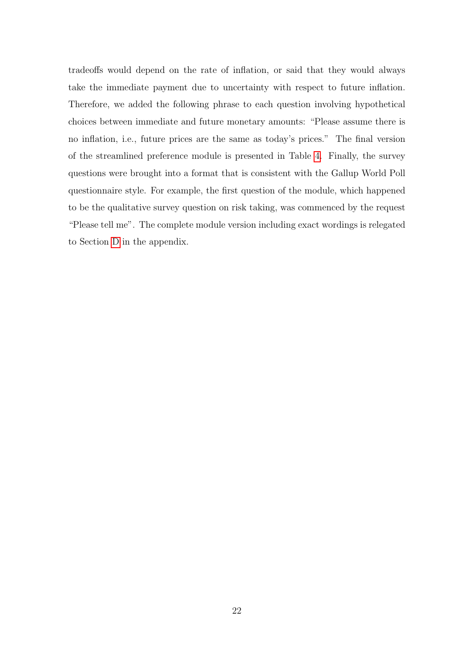tradeoffs would depend on the rate of inflation, or said that they would always take the immediate payment due to uncertainty with respect to future inflation. Therefore, we added the following phrase to each question involving hypothetical choices between immediate and future monetary amounts: "Please assume there is no inflation, i.e., future prices are the same as today's prices." The final version of the streamlined preference module is presented in Table [4.](#page-25-0) Finally, the survey questions were brought into a format that is consistent with the Gallup World Poll questionnaire style. For example, the first question of the module, which happened to be the qualitative survey question on risk taking, was commenced by the request "Please tell me". The complete module version including exact wordings is relegated to Section [D](#page-44-0) in the appendix.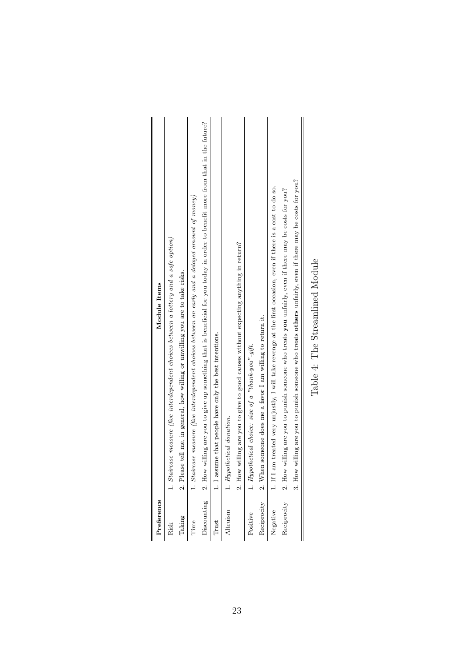<span id="page-25-0"></span>

| Preference  | Module Items                                                                                                                      |
|-------------|-----------------------------------------------------------------------------------------------------------------------------------|
| Risk        | 1. Staircase measure (five interdependent choices between a lottery and a safe option)                                            |
| Taking      | 2. Please tell me, in general, how willing or unwilling you are to take risks.                                                    |
| Time        | $1.$ Staircase measure (five interdependent choices between an early and a delayed amount of money)                               |
| Discounting | willing are you to give up something that is beneficial for you today in order to benefit more from that in the future?<br>2. How |
| Trust       | 1. I assume that people have only the best intentions.                                                                            |
| Altruism    | 1. Hypothetical donation.                                                                                                         |
|             | willing are you to give to good causes without expecting anything in return?<br>$2.$ How                                          |
| Positive    | 1. Hypothetical choice: size of a "thank-you"-gift.                                                                               |
| Reciprocity | 2. When someone does me a favor I am willing to return it.                                                                        |
| Negative    | 1. If I am treated very unjustly, I will take revenge at the first occasion, even if there is a cost to do so.                    |
| Reciprocity | willing are you to punish someone who treats you unfairly, even if there may be costs for you?<br>2. How                          |
|             | willing are you to punish someone who treats others unfairly, even if there may be costs for you?<br>3. How                       |
|             |                                                                                                                                   |

Table 4: The Streamlined Module Table 4: The Streamlined Module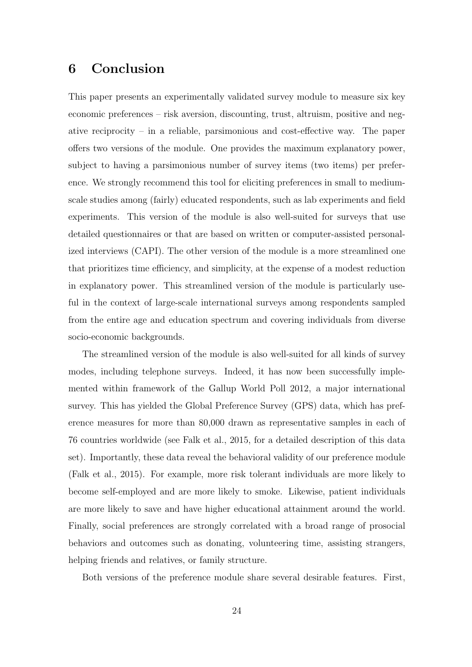# <span id="page-26-0"></span>6 Conclusion

This paper presents an experimentally validated survey module to measure six key economic preferences – risk aversion, discounting, trust, altruism, positive and negative reciprocity – in a reliable, parsimonious and cost-effective way. The paper offers two versions of the module. One provides the maximum explanatory power, subject to having a parsimonious number of survey items (two items) per preference. We strongly recommend this tool for eliciting preferences in small to mediumscale studies among (fairly) educated respondents, such as lab experiments and field experiments. This version of the module is also well-suited for surveys that use detailed questionnaires or that are based on written or computer-assisted personalized interviews (CAPI). The other version of the module is a more streamlined one that prioritizes time efficiency, and simplicity, at the expense of a modest reduction in explanatory power. This streamlined version of the module is particularly useful in the context of large-scale international surveys among respondents sampled from the entire age and education spectrum and covering individuals from diverse socio-economic backgrounds.

The streamlined version of the module is also well-suited for all kinds of survey modes, including telephone surveys. Indeed, it has now been successfully implemented within framework of the Gallup World Poll 2012, a major international survey. This has yielded the Global Preference Survey (GPS) data, which has preference measures for more than 80,000 drawn as representative samples in each of 76 countries worldwide (see Falk et al., 2015, for a detailed description of this data set). Importantly, these data reveal the behavioral validity of our preference module (Falk et al., 2015). For example, more risk tolerant individuals are more likely to become self-employed and are more likely to smoke. Likewise, patient individuals are more likely to save and have higher educational attainment around the world. Finally, social preferences are strongly correlated with a broad range of prosocial behaviors and outcomes such as donating, volunteering time, assisting strangers, helping friends and relatives, or family structure.

Both versions of the preference module share several desirable features. First,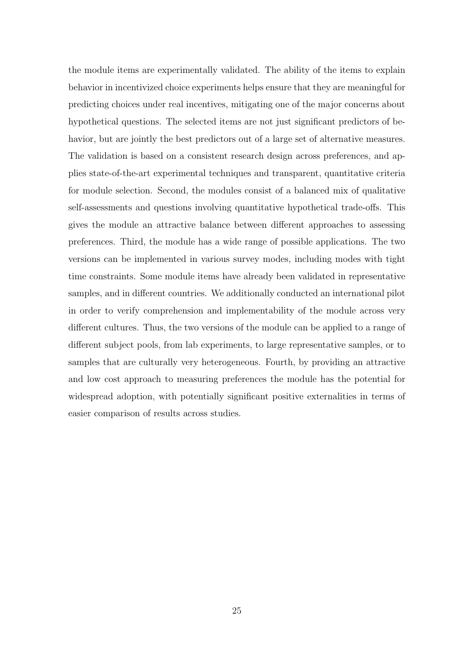the module items are experimentally validated. The ability of the items to explain behavior in incentivized choice experiments helps ensure that they are meaningful for predicting choices under real incentives, mitigating one of the major concerns about hypothetical questions. The selected items are not just significant predictors of behavior, but are jointly the best predictors out of a large set of alternative measures. The validation is based on a consistent research design across preferences, and applies state-of-the-art experimental techniques and transparent, quantitative criteria for module selection. Second, the modules consist of a balanced mix of qualitative self-assessments and questions involving quantitative hypothetical trade-offs. This gives the module an attractive balance between different approaches to assessing preferences. Third, the module has a wide range of possible applications. The two versions can be implemented in various survey modes, including modes with tight time constraints. Some module items have already been validated in representative samples, and in different countries. We additionally conducted an international pilot in order to verify comprehension and implementability of the module across very different cultures. Thus, the two versions of the module can be applied to a range of different subject pools, from lab experiments, to large representative samples, or to samples that are culturally very heterogeneous. Fourth, by providing an attractive and low cost approach to measuring preferences the module has the potential for widespread adoption, with potentially significant positive externalities in terms of easier comparison of results across studies.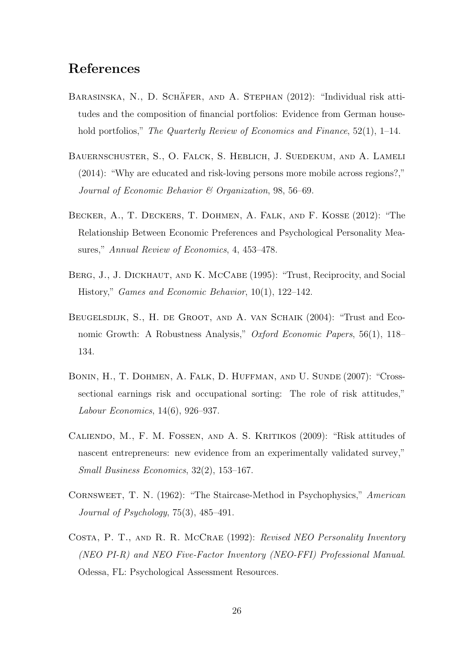# References

- BARASINSKA, N., D. SCHÄFER, AND A. STEPHAN (2012): "Individual risk attitudes and the composition of financial portfolios: Evidence from German household portfolios," The Quarterly Review of Economics and Finance, 52(1), 1–14.
- Bauernschuster, S., O. Falck, S. Heblich, J. Suedekum, and A. Lameli (2014): "Why are educated and risk-loving persons more mobile across regions?," Journal of Economic Behavior & Organization, 98, 56–69.
- Becker, A., T. Deckers, T. Dohmen, A. Falk, and F. Kosse (2012): "The Relationship Between Economic Preferences and Psychological Personality Measures," Annual Review of Economics, 4, 453–478.
- BERG, J., J. DICKHAUT, AND K. MCCABE (1995): "Trust, Reciprocity, and Social History," Games and Economic Behavior, 10(1), 122–142.
- Beugelsdijk, S., H. de Groot, and A. van Schaik (2004): "Trust and Economic Growth: A Robustness Analysis," Oxford Economic Papers, 56(1), 118– 134.
- Bonin, H., T. Dohmen, A. Falk, D. Huffman, and U. Sunde (2007): "Crosssectional earnings risk and occupational sorting: The role of risk attitudes," Labour Economics, 14(6), 926–937.
- Caliendo, M., F. M. Fossen, and A. S. Kritikos (2009): "Risk attitudes of nascent entrepreneurs: new evidence from an experimentally validated survey," Small Business Economics, 32(2), 153–167.
- Cornsweet, T. N. (1962): "The Staircase-Method in Psychophysics," American Journal of Psychology, 75(3), 485–491.
- Costa, P. T., and R. R. McCrae (1992): Revised NEO Personality Inventory (NEO PI-R) and NEO Five-Factor Inventory (NEO-FFI) Professional Manual. Odessa, FL: Psychological Assessment Resources.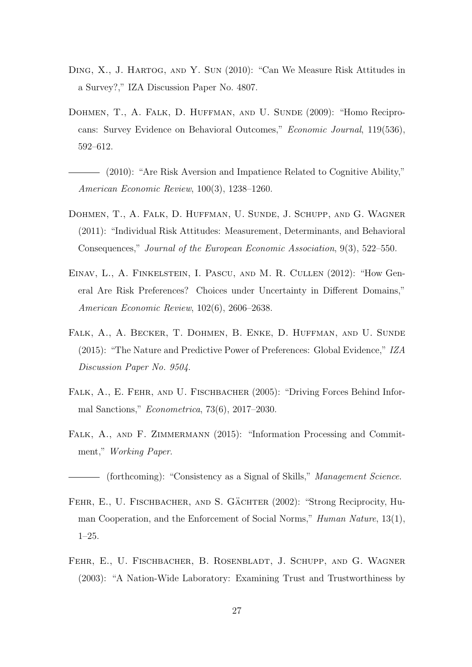- Ding, X., J. Hartog, and Y. Sun (2010): "Can We Measure Risk Attitudes in a Survey?," IZA Discussion Paper No. 4807.
- DOHMEN, T., A. FALK, D. HUFFMAN, AND U. SUNDE (2009): "Homo Reciprocans: Survey Evidence on Behavioral Outcomes," Economic Journal, 119(536), 592–612.
- (2010): "Are Risk Aversion and Impatience Related to Cognitive Ability," American Economic Review, 100(3), 1238–1260.
- Dohmen, T., A. Falk, D. Huffman, U. Sunde, J. Schupp, and G. Wagner (2011): "Individual Risk Attitudes: Measurement, Determinants, and Behavioral Consequences," Journal of the European Economic Association, 9(3), 522–550.
- Einav, L., A. Finkelstein, I. Pascu, and M. R. Cullen (2012): "How General Are Risk Preferences? Choices under Uncertainty in Different Domains," American Economic Review, 102(6), 2606–2638.
- FALK, A., A. BECKER, T. DOHMEN, B. ENKE, D. HUFFMAN, AND U. SUNDE (2015): "The Nature and Predictive Power of Preferences: Global Evidence," IZA Discussion Paper No. 9504.
- FALK, A., E. FEHR, AND U. FISCHBACHER (2005): "Driving Forces Behind Informal Sanctions," Econometrica, 73(6), 2017–2030.
- FALK, A., AND F. ZIMMERMANN (2015): "Information Processing and Commitment," Working Paper.

(forthcoming): "Consistency as a Signal of Skills," Management Science.

- FEHR, E., U. FISCHBACHER, AND S. GACHTER  $(2002)$ : "Strong Reciprocity, Human Cooperation, and the Enforcement of Social Norms," *Human Nature*, 13(1), 1–25.
- Fehr, E., U. Fischbacher, B. Rosenbladt, J. Schupp, and G. Wagner (2003): "A Nation-Wide Laboratory: Examining Trust and Trustworthiness by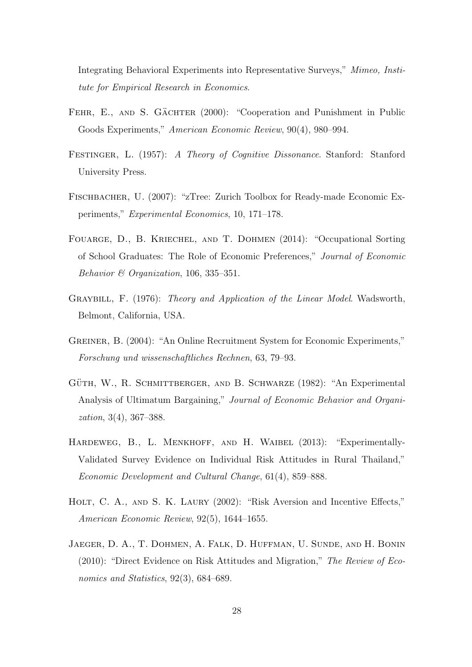Integrating Behavioral Experiments into Representative Surveys," Mimeo, Institute for Empirical Research in Economics.

- FEHR, E., AND S. GÄCHTER (2000): "Cooperation and Punishment in Public Goods Experiments," American Economic Review, 90(4), 980–994.
- Festinger, L. (1957): A Theory of Cognitive Dissonance. Stanford: Stanford University Press.
- Fischbacher, U. (2007): "zTree: Zurich Toolbox for Ready-made Economic Experiments," Experimental Economics, 10, 171–178.
- Fouarge, D., B. Kriechel, and T. Dohmen (2014): "Occupational Sorting of School Graduates: The Role of Economic Preferences," Journal of Economic Behavior & Organization, 106, 335–351.
- GRAYBILL, F. (1976): Theory and Application of the Linear Model. Wadsworth, Belmont, California, USA.
- Greiner, B. (2004): "An Online Recruitment System for Economic Experiments," Forschung und wissenschaftliches Rechnen, 63, 79–93.
- GÜTH, W., R. SCHMITTBERGER, AND B. SCHWARZE (1982): "An Experimental Analysis of Ultimatum Bargaining," Journal of Economic Behavior and Organization, 3(4), 367–388.
- HARDEWEG, B., L. MENKHOFF, AND H. WAIBEL (2013): "Experimentally-Validated Survey Evidence on Individual Risk Attitudes in Rural Thailand," Economic Development and Cultural Change, 61(4), 859–888.
- Holt, C. A., and S. K. Laury (2002): "Risk Aversion and Incentive Effects," American Economic Review, 92(5), 1644–1655.
- Jaeger, D. A., T. Dohmen, A. Falk, D. Huffman, U. Sunde, and H. Bonin (2010): "Direct Evidence on Risk Attitudes and Migration," The Review of Economics and Statistics, 92(3), 684–689.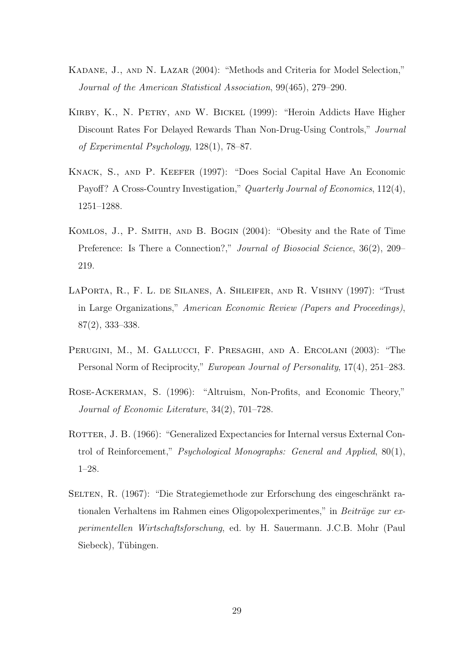- KADANE, J., AND N. LAZAR (2004): "Methods and Criteria for Model Selection," Journal of the American Statistical Association, 99(465), 279–290.
- Kirby, K., N. Petry, and W. Bickel (1999): "Heroin Addicts Have Higher Discount Rates For Delayed Rewards Than Non-Drug-Using Controls," Journal of Experimental Psychology, 128(1), 78–87.
- Knack, S., and P. Keefer (1997): "Does Social Capital Have An Economic Payoff? A Cross-Country Investigation," Quarterly Journal of Economics, 112(4), 1251–1288.
- KOMLOS, J., P. SMITH, AND B. BOGIN (2004): "Obesity and the Rate of Time Preference: Is There a Connection?," Journal of Biosocial Science, 36(2), 209– 219.
- LaPorta, R., F. L. de Silanes, A. Shleifer, and R. Vishny (1997): "Trust in Large Organizations," American Economic Review (Papers and Proceedings), 87(2), 333–338.
- PERUGINI, M., M. GALLUCCI, F. PRESAGHI, AND A. ERCOLANI (2003): "The Personal Norm of Reciprocity," European Journal of Personality, 17(4), 251–283.
- Rose-Ackerman, S. (1996): "Altruism, Non-Profits, and Economic Theory," Journal of Economic Literature, 34(2), 701–728.
- ROTTER, J. B. (1966): "Generalized Expectancies for Internal versus External Control of Reinforcement," Psychological Monographs: General and Applied, 80(1), 1–28.
- SELTEN, R. (1967): "Die Strategiemethode zur Erforschung des eingeschränkt rationalen Verhaltens im Rahmen eines Oligopolexperimentes," in Beiträge zur experimentellen Wirtschaftsforschung, ed. by H. Sauermann. J.C.B. Mohr (Paul Siebeck), Tübingen.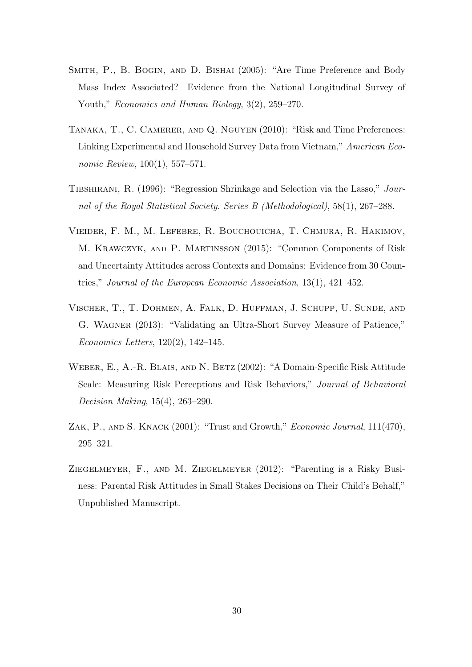- Smith, P., B. Bogin, and D. Bishai (2005): "Are Time Preference and Body Mass Index Associated? Evidence from the National Longitudinal Survey of Youth," Economics and Human Biology, 3(2), 259–270.
- TANAKA, T., C. CAMERER, AND Q. NGUYEN (2010): "Risk and Time Preferences: Linking Experimental and Household Survey Data from Vietnam," American Economic Review, 100(1), 557–571.
- Tibshirani, R. (1996): "Regression Shrinkage and Selection via the Lasso," Journal of the Royal Statistical Society. Series B (Methodological), 58(1), 267–288.
- Vieider, F. M., M. Lefebre, R. Bouchouicha, T. Chmura, R. Hakimov, M. Krawczyk, and P. Martinsson (2015): "Common Components of Risk and Uncertainty Attitudes across Contexts and Domains: Evidence from 30 Countries," Journal of the European Economic Association, 13(1), 421–452.
- Vischer, T., T. Dohmen, A. Falk, D. Huffman, J. Schupp, U. Sunde, and G. WAGNER (2013): "Validating an Ultra-Short Survey Measure of Patience," Economics Letters, 120(2), 142–145.
- Weber, E., A.-R. Blais, and N. Betz (2002): "A Domain-Specific Risk Attitude Scale: Measuring Risk Perceptions and Risk Behaviors," Journal of Behavioral Decision Making, 15(4), 263–290.
- Zak, P., and S. Knack (2001): "Trust and Growth," Economic Journal, 111(470), 295–321.
- Ziegelmeyer, F., and M. Ziegelmeyer (2012): "Parenting is a Risky Business: Parental Risk Attitudes in Small Stakes Decisions on Their Child's Behalf," Unpublished Manuscript.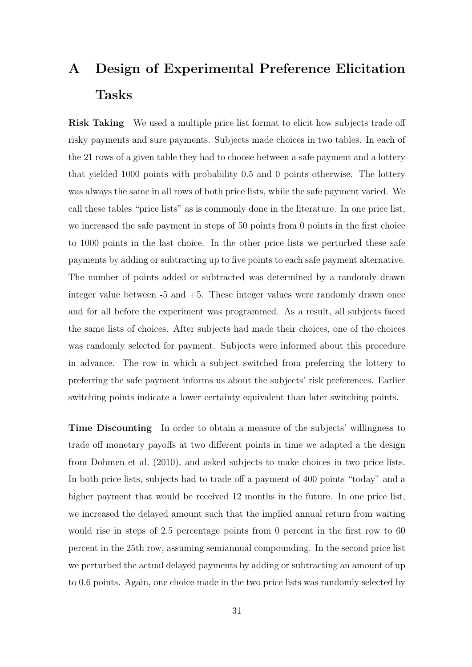# <span id="page-33-0"></span>A Design of Experimental Preference Elicitation Tasks

Risk Taking We used a multiple price list format to elicit how subjects trade off risky payments and sure payments. Subjects made choices in two tables. In each of the 21 rows of a given table they had to choose between a safe payment and a lottery that yielded 1000 points with probability 0.5 and 0 points otherwise. The lottery was always the same in all rows of both price lists, while the safe payment varied. We call these tables "price lists" as is commonly done in the literature. In one price list, we increased the safe payment in steps of 50 points from 0 points in the first choice to 1000 points in the last choice. In the other price lists we perturbed these safe payments by adding or subtracting up to five points to each safe payment alternative. The number of points added or subtracted was determined by a randomly drawn integer value between  $-5$  and  $+5$ . These integer values were randomly drawn once and for all before the experiment was programmed. As a result, all subjects faced the same lists of choices. After subjects had made their choices, one of the choices was randomly selected for payment. Subjects were informed about this procedure in advance. The row in which a subject switched from preferring the lottery to preferring the safe payment informs us about the subjects' risk preferences. Earlier switching points indicate a lower certainty equivalent than later switching points.

Time Discounting In order to obtain a measure of the subjects' willingness to trade off monetary payoffs at two different points in time we adapted a the design from Dohmen et al. (2010), and asked subjects to make choices in two price lists. In both price lists, subjects had to trade off a payment of 400 points "today" and a higher payment that would be received 12 months in the future. In one price list, we increased the delayed amount such that the implied annual return from waiting would rise in steps of 2.5 percentage points from 0 percent in the first row to 60 percent in the 25th row, assuming semiannual compounding. In the second price list we perturbed the actual delayed payments by adding or subtracting an amount of up to 0.6 points. Again, one choice made in the two price lists was randomly selected by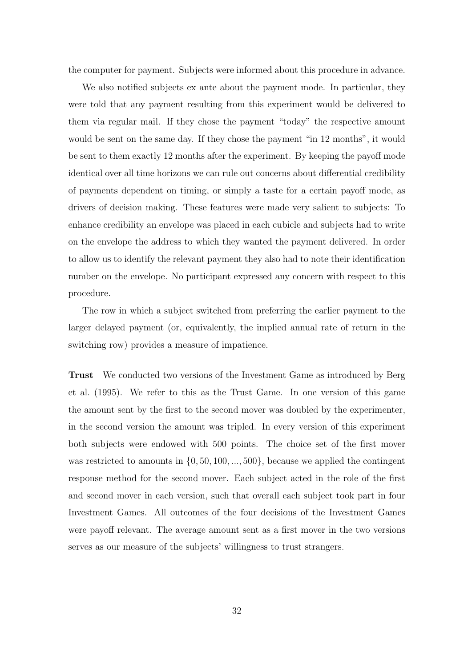the computer for payment. Subjects were informed about this procedure in advance.

We also notified subjects ex ante about the payment mode. In particular, they were told that any payment resulting from this experiment would be delivered to them via regular mail. If they chose the payment "today" the respective amount would be sent on the same day. If they chose the payment "in 12 months", it would be sent to them exactly 12 months after the experiment. By keeping the payoff mode identical over all time horizons we can rule out concerns about differential credibility of payments dependent on timing, or simply a taste for a certain payoff mode, as drivers of decision making. These features were made very salient to subjects: To enhance credibility an envelope was placed in each cubicle and subjects had to write on the envelope the address to which they wanted the payment delivered. In order to allow us to identify the relevant payment they also had to note their identification number on the envelope. No participant expressed any concern with respect to this procedure.

The row in which a subject switched from preferring the earlier payment to the larger delayed payment (or, equivalently, the implied annual rate of return in the switching row) provides a measure of impatience.

Trust We conducted two versions of the Investment Game as introduced by Berg et al. (1995). We refer to this as the Trust Game. In one version of this game the amount sent by the first to the second mover was doubled by the experimenter, in the second version the amount was tripled. In every version of this experiment both subjects were endowed with 500 points. The choice set of the first mover was restricted to amounts in  $\{0, 50, 100, \ldots, 500\}$ , because we applied the contingent response method for the second mover. Each subject acted in the role of the first and second mover in each version, such that overall each subject took part in four Investment Games. All outcomes of the four decisions of the Investment Games were payoff relevant. The average amount sent as a first mover in the two versions serves as our measure of the subjects' willingness to trust strangers.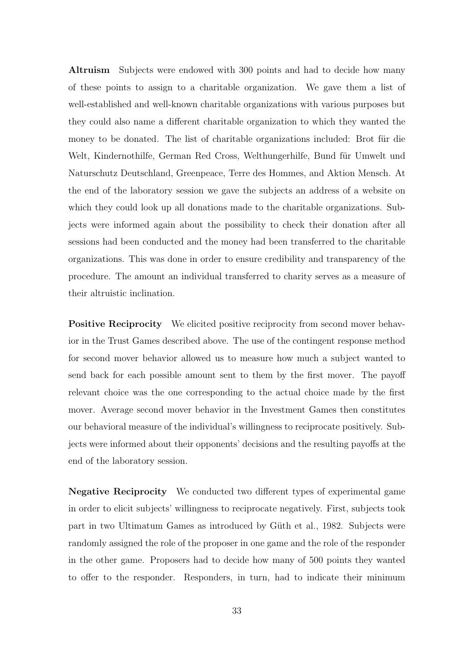Altruism Subjects were endowed with 300 points and had to decide how many of these points to assign to a charitable organization. We gave them a list of well-established and well-known charitable organizations with various purposes but they could also name a different charitable organization to which they wanted the money to be donated. The list of charitable organizations included: Brot für die Welt, Kindernothilfe, German Red Cross, Welthungerhilfe, Bund für Umwelt und Naturschutz Deutschland, Greenpeace, Terre des Hommes, and Aktion Mensch. At the end of the laboratory session we gave the subjects an address of a website on which they could look up all donations made to the charitable organizations. Subjects were informed again about the possibility to check their donation after all sessions had been conducted and the money had been transferred to the charitable organizations. This was done in order to ensure credibility and transparency of the procedure. The amount an individual transferred to charity serves as a measure of their altruistic inclination.

Positive Reciprocity We elicited positive reciprocity from second mover behavior in the Trust Games described above. The use of the contingent response method for second mover behavior allowed us to measure how much a subject wanted to send back for each possible amount sent to them by the first mover. The payoff relevant choice was the one corresponding to the actual choice made by the first mover. Average second mover behavior in the Investment Games then constitutes our behavioral measure of the individual's willingness to reciprocate positively. Subjects were informed about their opponents' decisions and the resulting payoffs at the end of the laboratory session.

Negative Reciprocity We conducted two different types of experimental game in order to elicit subjects' willingness to reciprocate negatively. First, subjects took part in two Ultimatum Games as introduced by Güth et al., 1982. Subjects were randomly assigned the role of the proposer in one game and the role of the responder in the other game. Proposers had to decide how many of 500 points they wanted to offer to the responder. Responders, in turn, had to indicate their minimum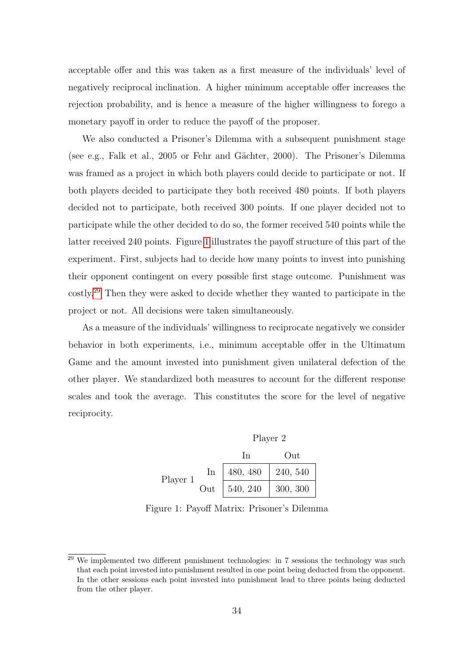acceptable offer and this was taken as a first measure of the individuals' level of negatively reciprocal inclination. A higher minimum acceptable offer increases the rejection probability, and is hence a measure of the higher willingness to forego a monetary payoff in order to reduce the payoff of the proposer.

We also conducted a Prisoner's Dilemma with a subsequent punishment stage (see e.g., Falk et al., 2005 or Fehr and Gächter, 2000). The Prisoner's Dilemma was framed as a project in which both players could decide to participate or not. If both players decided to participate they both received 480 points. If both players decided not to participate, both received 300 points. If one player decided not to participate while the other decided to do so, the former received 540 points while the latter received 240 points. Figure [1](#page-36-0) illustrates the payoff structure of this part of the experiment. First, subjects had to decide how many points to invest into punishing their opponent contingent on every possible first stage outcome. Punishment was costly.[29](#page--1-0) Then they were asked to decide whether they wanted to participate in the project or not. All decisions were taken simultaneously.

As a measure of the individuals' willingness to reciprocate negatively we consider behavior in both experiments, i.e., minimum acceptable offer in the Ultimatum Game and the amount invested into punishment given unilateral defection of the other player. We standardized both measures to account for the different response scales and took the average. This constitutes the score for the level of negative reciprocity.

Player 1 Player 2 In Out In | 480, 480 | 240, 540 Out | 540, 240 | 300, 300

<span id="page-36-0"></span>Figure 1: Payoff Matrix: Prisoner's Dilemma

 $29$  We implemented two different punishment technologies: in 7 sessions the technology was such that each point invested into punishment resulted in one point being deducted from the opponent. In the other sessions each point invested into punishment lead to three points being deducted from the other player.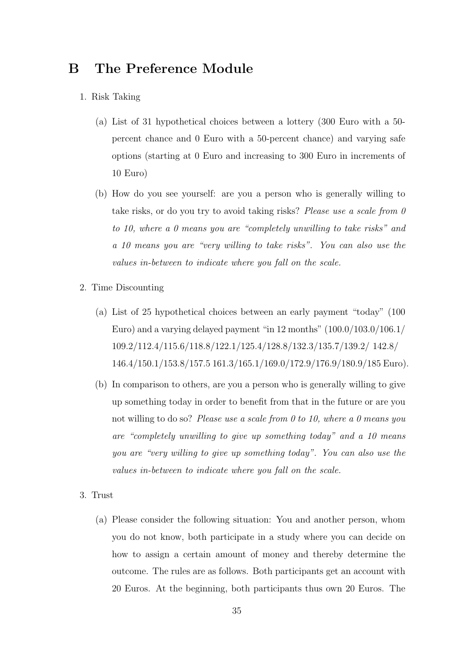# <span id="page-37-0"></span>B The Preference Module

#### 1. Risk Taking

- (a) List of 31 hypothetical choices between a lottery (300 Euro with a 50 percent chance and 0 Euro with a 50-percent chance) and varying safe options (starting at 0 Euro and increasing to 300 Euro in increments of 10 Euro)
- (b) How do you see yourself: are you a person who is generally willing to take risks, or do you try to avoid taking risks? Please use a scale from 0 to 10, where a 0 means you are "completely unwilling to take risks" and a 10 means you are "very willing to take risks". You can also use the values in-between to indicate where you fall on the scale.
- 2. Time Discounting
	- (a) List of 25 hypothetical choices between an early payment "today" (100 Euro) and a varying delayed payment "in  $12$  months"  $(100.0/103.0/106.1/$ 109.2/112.4/115.6/118.8/122.1/125.4/128.8/132.3/135.7/139.2/ 142.8/ 146.4/150.1/153.8/157.5 161.3/165.1/169.0/172.9/176.9/180.9/185 Euro).
	- (b) In comparison to others, are you a person who is generally willing to give up something today in order to benefit from that in the future or are you not willing to do so? Please use a scale from 0 to 10, where a 0 means you are "completely unwilling to give up something today" and a 10 means you are "very willing to give up something today". You can also use the values in-between to indicate where you fall on the scale.
- 3. Trust
	- (a) Please consider the following situation: You and another person, whom you do not know, both participate in a study where you can decide on how to assign a certain amount of money and thereby determine the outcome. The rules are as follows. Both participants get an account with 20 Euros. At the beginning, both participants thus own 20 Euros. The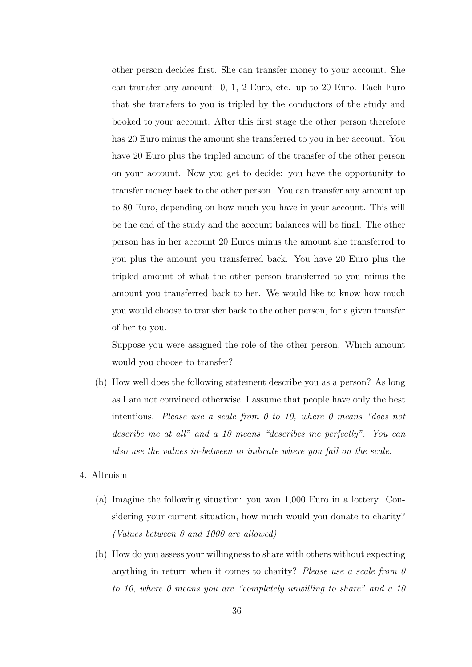other person decides first. She can transfer money to your account. She can transfer any amount: 0, 1, 2 Euro, etc. up to 20 Euro. Each Euro that she transfers to you is tripled by the conductors of the study and booked to your account. After this first stage the other person therefore has 20 Euro minus the amount she transferred to you in her account. You have 20 Euro plus the tripled amount of the transfer of the other person on your account. Now you get to decide: you have the opportunity to transfer money back to the other person. You can transfer any amount up to 80 Euro, depending on how much you have in your account. This will be the end of the study and the account balances will be final. The other person has in her account 20 Euros minus the amount she transferred to you plus the amount you transferred back. You have 20 Euro plus the tripled amount of what the other person transferred to you minus the amount you transferred back to her. We would like to know how much you would choose to transfer back to the other person, for a given transfer of her to you.

Suppose you were assigned the role of the other person. Which amount would you choose to transfer?

- (b) How well does the following statement describe you as a person? As long as I am not convinced otherwise, I assume that people have only the best intentions. Please use a scale from  $0$  to  $10$ , where  $0$  means "does not describe me at all" and a 10 means "describes me perfectly". You can also use the values in-between to indicate where you fall on the scale.
- 4. Altruism
	- (a) Imagine the following situation: you won 1,000 Euro in a lottery. Considering your current situation, how much would you donate to charity? (Values between 0 and 1000 are allowed)
	- (b) How do you assess your willingness to share with others without expecting anything in return when it comes to charity? Please use a scale from  $\theta$ to 10, where 0 means you are "completely unwilling to share" and a 10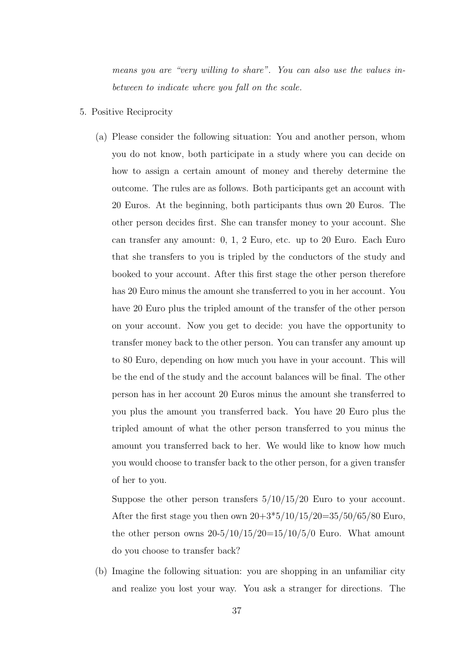means you are "very willing to share". You can also use the values inbetween to indicate where you fall on the scale.

- 5. Positive Reciprocity
	- (a) Please consider the following situation: You and another person, whom you do not know, both participate in a study where you can decide on how to assign a certain amount of money and thereby determine the outcome. The rules are as follows. Both participants get an account with 20 Euros. At the beginning, both participants thus own 20 Euros. The other person decides first. She can transfer money to your account. She can transfer any amount: 0, 1, 2 Euro, etc. up to 20 Euro. Each Euro that she transfers to you is tripled by the conductors of the study and booked to your account. After this first stage the other person therefore has 20 Euro minus the amount she transferred to you in her account. You have 20 Euro plus the tripled amount of the transfer of the other person on your account. Now you get to decide: you have the opportunity to transfer money back to the other person. You can transfer any amount up to 80 Euro, depending on how much you have in your account. This will be the end of the study and the account balances will be final. The other person has in her account 20 Euros minus the amount she transferred to you plus the amount you transferred back. You have 20 Euro plus the tripled amount of what the other person transferred to you minus the amount you transferred back to her. We would like to know how much you would choose to transfer back to the other person, for a given transfer of her to you.

Suppose the other person transfers 5/10/15/20 Euro to your account. After the first stage you then own  $20+3*5/10/15/20=35/50/65/80$  Euro, the other person owns  $20-5/10/15/20=15/10/5/0$  Euro. What amount do you choose to transfer back?

(b) Imagine the following situation: you are shopping in an unfamiliar city and realize you lost your way. You ask a stranger for directions. The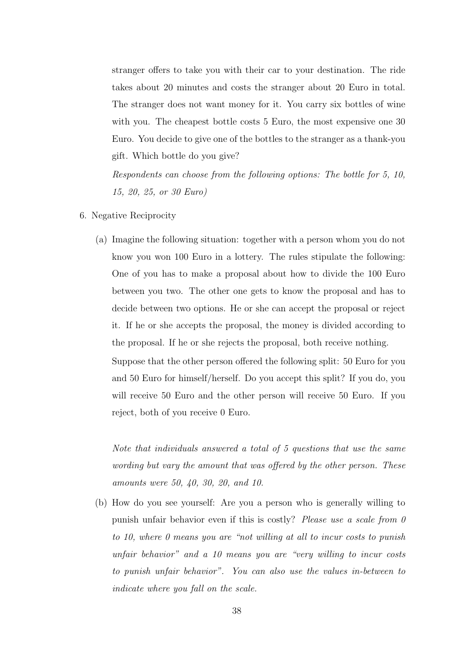stranger offers to take you with their car to your destination. The ride takes about 20 minutes and costs the stranger about 20 Euro in total. The stranger does not want money for it. You carry six bottles of wine with you. The cheapest bottle costs 5 Euro, the most expensive one 30 Euro. You decide to give one of the bottles to the stranger as a thank-you gift. Which bottle do you give?

Respondents can choose from the following options: The bottle for 5, 10, 15, 20, 25, or 30 Euro)

- 6. Negative Reciprocity
	- (a) Imagine the following situation: together with a person whom you do not know you won 100 Euro in a lottery. The rules stipulate the following: One of you has to make a proposal about how to divide the 100 Euro between you two. The other one gets to know the proposal and has to decide between two options. He or she can accept the proposal or reject it. If he or she accepts the proposal, the money is divided according to the proposal. If he or she rejects the proposal, both receive nothing. Suppose that the other person offered the following split: 50 Euro for you and 50 Euro for himself/herself. Do you accept this split? If you do, you

will receive 50 Euro and the other person will receive 50 Euro. If you reject, both of you receive 0 Euro.

Note that individuals answered a total of 5 questions that use the same wording but vary the amount that was offered by the other person. These amounts were 50, 40, 30, 20, and 10.

(b) How do you see yourself: Are you a person who is generally willing to punish unfair behavior even if this is costly? Please use a scale from 0 to 10, where 0 means you are "not willing at all to incur costs to punish unfair behavior" and a 10 means you are "very willing to incur costs to punish unfair behavior". You can also use the values in-between to indicate where you fall on the scale.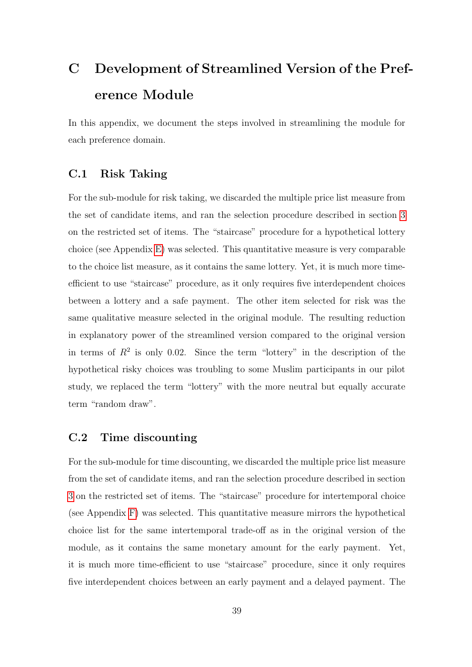# <span id="page-41-0"></span>C Development of Streamlined Version of the Preference Module

In this appendix, we document the steps involved in streamlining the module for each preference domain.

### C.1 Risk Taking

For the sub-module for risk taking, we discarded the multiple price list measure from the set of candidate items, and ran the selection procedure described in section [3](#page-12-0) on the restricted set of items. The "staircase" procedure for a hypothetical lottery choice (see Appendix [E\)](#page-55-0) was selected. This quantitative measure is very comparable to the choice list measure, as it contains the same lottery. Yet, it is much more timeefficient to use "staircase" procedure, as it only requires five interdependent choices between a lottery and a safe payment. The other item selected for risk was the same qualitative measure selected in the original module. The resulting reduction in explanatory power of the streamlined version compared to the original version in terms of  $R^2$  is only 0.02. Since the term "lottery" in the description of the hypothetical risky choices was troubling to some Muslim participants in our pilot study, we replaced the term "lottery" with the more neutral but equally accurate term "random draw".

#### C.2 Time discounting

For the sub-module for time discounting, we discarded the multiple price list measure from the set of candidate items, and ran the selection procedure described in section [3](#page-12-0) on the restricted set of items. The "staircase" procedure for intertemporal choice (see Appendix [F\)](#page-63-0) was selected. This quantitative measure mirrors the hypothetical choice list for the same intertemporal trade-off as in the original version of the module, as it contains the same monetary amount for the early payment. Yet, it is much more time-efficient to use "staircase" procedure, since it only requires five interdependent choices between an early payment and a delayed payment. The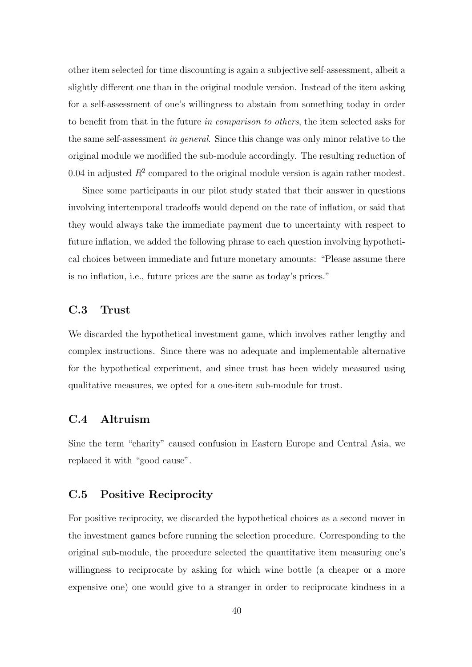other item selected for time discounting is again a subjective self-assessment, albeit a slightly different one than in the original module version. Instead of the item asking for a self-assessment of one's willingness to abstain from something today in order to benefit from that in the future in comparison to others, the item selected asks for the same self-assessment in general. Since this change was only minor relative to the original module we modified the sub-module accordingly. The resulting reduction of 0.04 in adjusted  $R^2$  compared to the original module version is again rather modest.

Since some participants in our pilot study stated that their answer in questions involving intertemporal tradeoffs would depend on the rate of inflation, or said that they would always take the immediate payment due to uncertainty with respect to future inflation, we added the following phrase to each question involving hypothetical choices between immediate and future monetary amounts: "Please assume there is no inflation, i.e., future prices are the same as today's prices."

#### C.3 Trust

We discarded the hypothetical investment game, which involves rather lengthy and complex instructions. Since there was no adequate and implementable alternative for the hypothetical experiment, and since trust has been widely measured using qualitative measures, we opted for a one-item sub-module for trust.

#### C.4 Altruism

Sine the term "charity" caused confusion in Eastern Europe and Central Asia, we replaced it with "good cause".

#### C.5 Positive Reciprocity

For positive reciprocity, we discarded the hypothetical choices as a second mover in the investment games before running the selection procedure. Corresponding to the original sub-module, the procedure selected the quantitative item measuring one's willingness to reciprocate by asking for which wine bottle (a cheaper or a more expensive one) one would give to a stranger in order to reciprocate kindness in a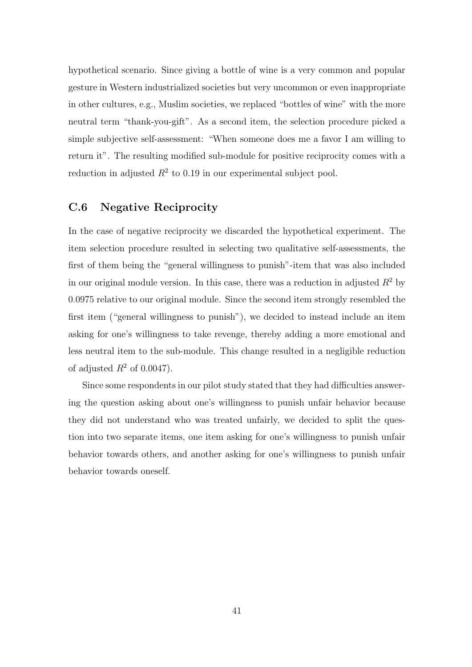hypothetical scenario. Since giving a bottle of wine is a very common and popular gesture in Western industrialized societies but very uncommon or even inappropriate in other cultures, e.g., Muslim societies, we replaced "bottles of wine" with the more neutral term "thank-you-gift". As a second item, the selection procedure picked a simple subjective self-assessment: "When someone does me a favor I am willing to return it". The resulting modified sub-module for positive reciprocity comes with a reduction in adjusted  $R^2$  to 0.19 in our experimental subject pool.

#### C.6 Negative Reciprocity

In the case of negative reciprocity we discarded the hypothetical experiment. The item selection procedure resulted in selecting two qualitative self-assessments, the first of them being the "general willingness to punish"-item that was also included in our original module version. In this case, there was a reduction in adjusted  $R^2$  by 0.0975 relative to our original module. Since the second item strongly resembled the first item ("general willingness to punish"), we decided to instead include an item asking for one's willingness to take revenge, thereby adding a more emotional and less neutral item to the sub-module. This change resulted in a negligible reduction of adjusted  $R^2$  of 0.0047).

Since some respondents in our pilot study stated that they had difficulties answering the question asking about one's willingness to punish unfair behavior because they did not understand who was treated unfairly, we decided to split the question into two separate items, one item asking for one's willingness to punish unfair behavior towards others, and another asking for one's willingness to punish unfair behavior towards oneself.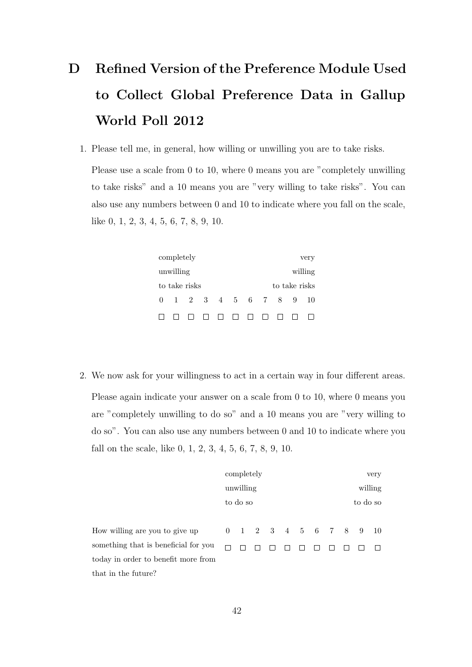# <span id="page-44-0"></span>D Refined Version of the Preference Module Used to Collect Global Preference Data in Gallup World Poll 2012

1. Please tell me, in general, how willing or unwilling you are to take risks.

Please use a scale from 0 to 10, where 0 means you are "completely unwilling to take risks" and a 10 means you are "very willing to take risks". You can also use any numbers between 0 and 10 to indicate where you fall on the scale, like 0, 1, 2, 3, 4, 5, 6, 7, 8, 9, 10.

|                                | completely |  |  |               |  |  | very |   |   |    |  |  |  |  |  |  |  |
|--------------------------------|------------|--|--|---------------|--|--|------|---|---|----|--|--|--|--|--|--|--|
| unwilling<br>willing           |            |  |  |               |  |  |      |   |   |    |  |  |  |  |  |  |  |
| to take risks<br>to take risks |            |  |  |               |  |  |      |   |   |    |  |  |  |  |  |  |  |
| $\Omega$                       |            |  |  | 1 2 3 4 5 6 7 |  |  |      | 8 | 9 | 10 |  |  |  |  |  |  |  |
|                                |            |  |  |               |  |  |      |   |   |    |  |  |  |  |  |  |  |

2. We now ask for your willingness to act in a certain way in four different areas. Please again indicate your answer on a scale from 0 to 10, where 0 means you are "completely unwilling to do so" and a 10 means you are "very willing to do so". You can also use any numbers between 0 and 10 to indicate where you fall on the scale, like 0, 1, 2, 3, 4, 5, 6, 7, 8, 9, 10.

|                                      | completely |          |  |  |                     |  |          | very    |  |  |     |  |  |
|--------------------------------------|------------|----------|--|--|---------------------|--|----------|---------|--|--|-----|--|--|
|                                      | unwilling  |          |  |  |                     |  |          | willing |  |  |     |  |  |
|                                      |            | to do so |  |  |                     |  | to do so |         |  |  |     |  |  |
| How willing are you to give up       |            |          |  |  | 0 1 2 3 4 5 6 7 8 9 |  |          |         |  |  | -10 |  |  |
| something that is beneficial for you |            |          |  |  |                     |  |          |         |  |  |     |  |  |
| today in order to benefit more from  |            |          |  |  |                     |  |          |         |  |  |     |  |  |
| that in the future?                  |            |          |  |  |                     |  |          |         |  |  |     |  |  |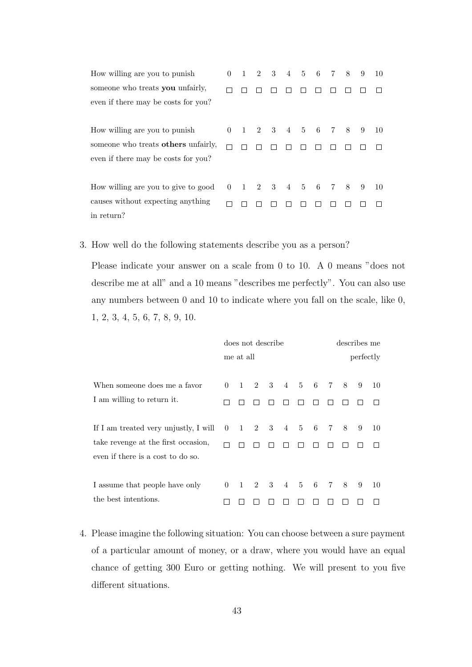| How willing are you to punish       |          | $\mathbf{1}$   | 2 3 4 |         | $5^{\circ}$ | $-6$ | $\overline{7}$ | - 8 | 9 | 10 |
|-------------------------------------|----------|----------------|-------|---------|-------------|------|----------------|-----|---|----|
| someone who treats you unfairly,    |          |                |       |         |             |      |                |     |   |    |
| even if there may be costs for you? |          |                |       |         |             |      |                |     |   |    |
|                                     |          |                |       |         |             |      |                |     |   |    |
| How willing are you to punish       | $\Omega$ | $\overline{1}$ |       | 2 3 4 5 |             | $-6$ | 7 8            |     | 9 | 10 |
| someone who treats others unfairly, |          |                |       |         |             |      |                |     |   |    |
| even if there may be costs for you? |          |                |       |         |             |      |                |     |   |    |
|                                     |          |                |       |         |             |      |                |     |   |    |
| How willing are you to give to good | $\Omega$ | $\overline{1}$ |       | 2 3 4 5 |             | $-6$ | 7 8            |     | 9 | 10 |
| causes without expecting anything   |          |                |       |         |             |      |                |     |   |    |
| in return?                          |          |                |       |         |             |      |                |     |   |    |

3. How well do the following statements describe you as a person?

Please indicate your answer on a scale from 0 to 10. A 0 means "does not describe me at all" and a 10 means "describes me perfectly". You can also use any numbers between 0 and 10 to indicate where you fall on the scale, like 0, 1, 2, 3, 4, 5, 6, 7, 8, 9, 10.

|                                       |          |              | does not describe |                           | describes me   |                 |       |                |     |   |    |
|---------------------------------------|----------|--------------|-------------------|---------------------------|----------------|-----------------|-------|----------------|-----|---|----|
|                                       |          | me at all    |                   |                           | perfectly      |                 |       |                |     |   |    |
| When someone does me a favor          | $\Omega$ | $\mathbf{1}$ | 2                 | $\overline{\phantom{a}3}$ | 4              |                 | 5 6 7 |                | -8  | 9 | 10 |
| I am willing to return it.            |          |              |                   |                           |                |                 |       |                |     |   |    |
| If I am treated very unjustly, I will | $\theta$ | $\mathbf{1}$ | 2                 | 3                         | $\overline{4}$ | 5 <sup>5</sup>  | - 6   | $\overline{7}$ | 8   | 9 | 10 |
| take revenge at the first occasion,   |          |              |                   |                           |                |                 |       |                |     |   |    |
| even if there is a cost to do so.     |          |              |                   |                           |                |                 |       |                |     |   |    |
| I assume that people have only        | $\Omega$ | $\mathbf{1}$ | $\overline{2}$    | $\overline{\phantom{a}3}$ | $\overline{4}$ | $5\phantom{.0}$ | - 6   | $\overline{7}$ | - 8 | 9 | 10 |
| the best intentions.                  |          |              |                   |                           |                |                 |       |                |     |   |    |

4. Please imagine the following situation: You can choose between a sure payment of a particular amount of money, or a draw, where you would have an equal chance of getting 300 Euro or getting nothing. We will present to you five different situations.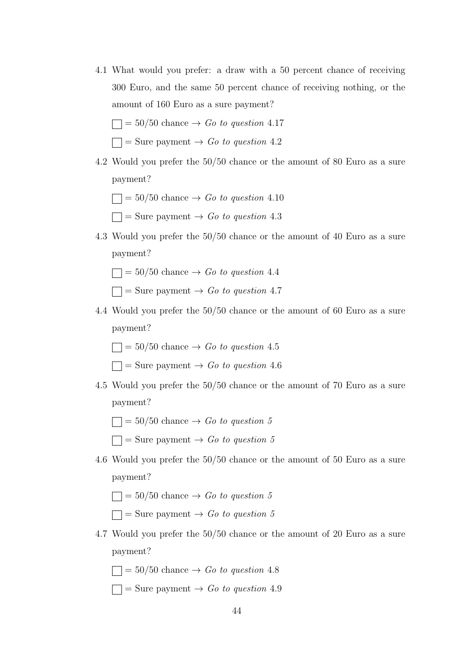4.1 What would you prefer: a draw with a 50 percent chance of receiving 300 Euro, and the same 50 percent chance of receiving nothing, or the amount of 160 Euro as a sure payment?

 $\Box = 50/50$  chance  $\rightarrow$  Go to question 4.17

 $\Box$  = Sure payment  $\rightarrow$  *Go to question* 4.2

4.2 Would you prefer the 50/50 chance or the amount of 80 Euro as a sure payment?

 $\Box$  = 50/50 chance  $\rightarrow$  *Go to question* 4.10

$$
\Box
$$
 = Sure payment  $\rightarrow$  Go to question 4.3

4.3 Would you prefer the 50/50 chance or the amount of 40 Euro as a sure payment?

 $\Box = 50/50$  chance  $\rightarrow$  Go to question 4.4

$$
\boxed{\phantom{1}} = \text{ Sure payment} \rightarrow Go\ to\ question\ 4.7
$$

4.4 Would you prefer the 50/50 chance or the amount of 60 Euro as a sure payment?

 $\Box = 50/50$  chance  $\rightarrow$  Go to question 4.5

- $\Box$  = Sure payment  $\rightarrow$  *Go to question* 4.6
- 4.5 Would you prefer the 50/50 chance or the amount of 70 Euro as a sure payment?

 $\Box = 50/50$  chance  $\rightarrow$  Go to question 5

- $\Box$  = Sure payment  $\rightarrow$  Go to question 5
- 4.6 Would you prefer the 50/50 chance or the amount of 50 Euro as a sure payment?

 $\Box$  = 50/50 chance  $\rightarrow$  *Go to question 5* 

- $\Box$  = Sure payment  $\rightarrow$  Go to question 5
- 4.7 Would you prefer the 50/50 chance or the amount of 20 Euro as a sure payment?

 $\Box = 50/50$  chance  $\rightarrow$  Go to question 4.8

 $\Box$  = Sure payment  $\rightarrow$  *Go to question* 4.9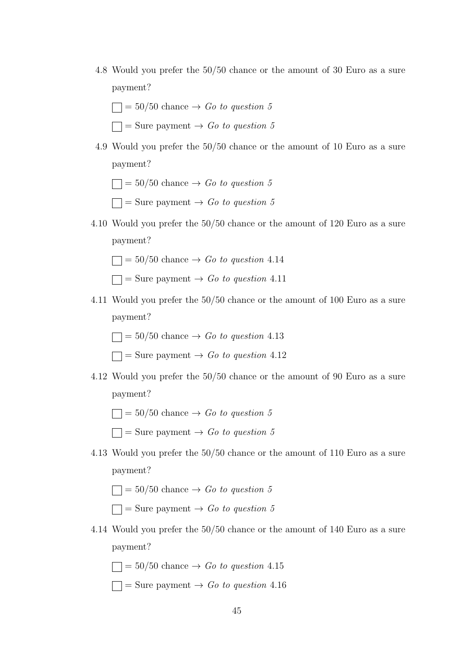4.8 Would you prefer the 50/50 chance or the amount of 30 Euro as a sure payment?

 $\Box = 50/50$  chance  $\rightarrow$  Go to question 5

- $\Box$  = Sure payment  $\rightarrow$  Go to question 5
- 4.9 Would you prefer the 50/50 chance or the amount of 10 Euro as a sure payment?

 $\Box = 50/50$  chance  $\rightarrow$  Go to question 5

 $\Box$  = Sure payment  $\rightarrow$  *Go to question 5* 

4.10 Would you prefer the 50/50 chance or the amount of 120 Euro as a sure payment?

 $\Box$  = 50/50 chance  $\rightarrow$  *Go to question* 4.14

 $\Box$  = Sure payment  $\rightarrow$  Go to question 4.11

4.11 Would you prefer the 50/50 chance or the amount of 100 Euro as a sure payment?

 $\Box = 50/50$  chance  $\rightarrow$  Go to question 4.13

 $\Box$  = Sure payment  $\rightarrow$  *Go to question* 4.12

4.12 Would you prefer the 50/50 chance or the amount of 90 Euro as a sure payment?

 $\Box = 50/50$  chance  $\rightarrow$  Go to question 5

- $\Box$  = Sure payment  $\rightarrow$  Go to question 5
- 4.13 Would you prefer the 50/50 chance or the amount of 110 Euro as a sure payment?

 $\Box = 50/50$  chance  $\rightarrow$  Go to question 5

- $\Box$  = Sure payment  $\rightarrow$  Go to question 5
- 4.14 Would you prefer the 50/50 chance or the amount of 140 Euro as a sure payment?

 $\Box = 50/50$  chance  $\rightarrow$  Go to question 4.15

 $\Box$  = Sure payment  $\rightarrow$  Go to question 4.16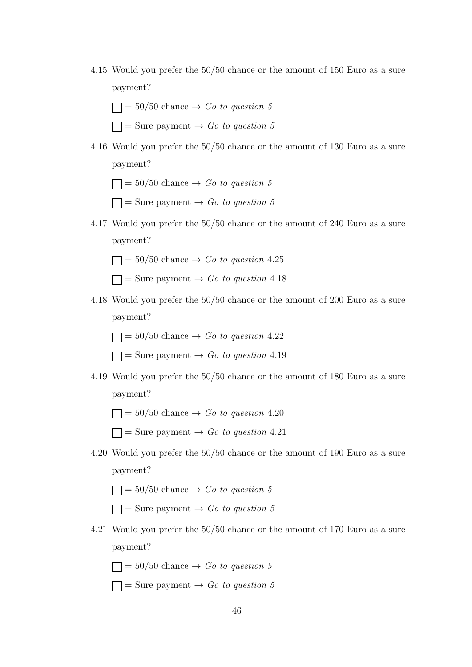4.15 Would you prefer the 50/50 chance or the amount of 150 Euro as a sure payment?

 $\Box = 50/50$  chance  $\rightarrow$  Go to question 5

- $\Box$  = Sure payment  $\rightarrow$  Go to question 5
- 4.16 Would you prefer the 50/50 chance or the amount of 130 Euro as a sure payment?

 $\Box = 50/50$  chance  $\rightarrow$  Go to question 5

 $\Box$  = Sure payment  $\rightarrow$  *Go to question 5* 

4.17 Would you prefer the 50/50 chance or the amount of 240 Euro as a sure payment?

 $\Box = 50/50$  chance  $\rightarrow$  Go to question 4.25

 $\Box$  = Sure payment  $\rightarrow$  Go to question 4.18

4.18 Would you prefer the 50/50 chance or the amount of 200 Euro as a sure payment?

 $\Box = 50/50$  chance  $\rightarrow$  *Go to question* 4.22

 $\Box$  = Sure payment  $\rightarrow$  *Go to question* 4.19

4.19 Would you prefer the 50/50 chance or the amount of 180 Euro as a sure payment?

 $\Box = 50/50$  chance  $\rightarrow$  Go to question 4.20

- $\Box$  = Sure payment  $\rightarrow$  Go to question 4.21
- 4.20 Would you prefer the 50/50 chance or the amount of 190 Euro as a sure payment?

 $\Box = 50/50$  chance  $\rightarrow$  Go to question 5

- $\Box$  = Sure payment  $\rightarrow$  Go to question 5
- 4.21 Would you prefer the 50/50 chance or the amount of 170 Euro as a sure payment?

 $\Box = 50/50$  chance  $\rightarrow$  Go to question 5

 $\Box$  = Sure payment  $\rightarrow$  Go to question 5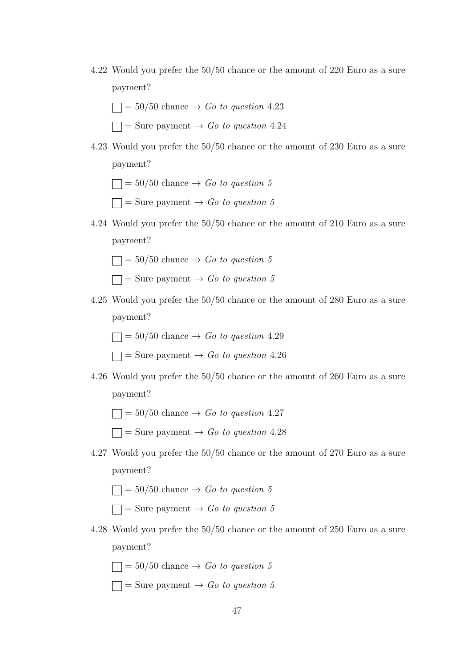4.22 Would you prefer the 50/50 chance or the amount of 220 Euro as a sure payment?

 $\Box = 50/50$  chance  $\rightarrow$  Go to question 4.23

- $\Box$  = Sure payment  $\rightarrow$  Go to question 4.24
- 4.23 Would you prefer the 50/50 chance or the amount of 230 Euro as a sure payment?

 $\Box = 50/50$  chance  $\rightarrow$  Go to question 5

 $\Box$  = Sure payment  $\rightarrow$  *Go to question 5* 

4.24 Would you prefer the 50/50 chance or the amount of 210 Euro as a sure payment?

 $\Box = 50/50$  chance  $\rightarrow$  Go to question 5

 $\Box$  = Sure payment  $\rightarrow$  *Go to question 5* 

4.25 Would you prefer the 50/50 chance or the amount of 280 Euro as a sure payment?

 $\Box = 50/50$  chance  $\rightarrow$  Go to question 4.29

 $\Box$  = Sure payment  $\rightarrow$  *Go to question* 4.26

4.26 Would you prefer the 50/50 chance or the amount of 260 Euro as a sure payment?

 $\Box = 50/50$  chance  $\rightarrow$  Go to question 4.27

- $\Box$  = Sure payment  $\rightarrow$  Go to question 4.28
- 4.27 Would you prefer the 50/50 chance or the amount of 270 Euro as a sure payment?

 $\Box = 50/50$  chance  $\rightarrow$  Go to question 5

- $\Box$  = Sure payment  $\rightarrow$  Go to question 5
- 4.28 Would you prefer the 50/50 chance or the amount of 250 Euro as a sure payment?

 $\Box = 50/50$  chance  $\rightarrow$  Go to question 5

 $\Box$  = Sure payment  $\rightarrow$  Go to question 5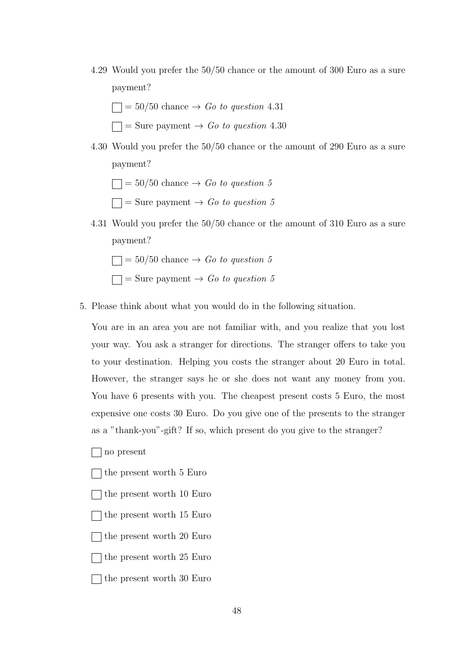4.29 Would you prefer the 50/50 chance or the amount of 300 Euro as a sure payment?

 $\Box = 50/50$  chance  $\rightarrow$  Go to question 4.31

- $\Box$  = Sure payment  $\rightarrow$  Go to question 4.30
- 4.30 Would you prefer the 50/50 chance or the amount of 290 Euro as a sure payment?

 $\Box = 50/50$  chance  $\rightarrow$  Go to question 5

 $\Box$  = Sure payment  $\rightarrow$  Go to question 5

4.31 Would you prefer the 50/50 chance or the amount of 310 Euro as a sure payment?

 $\Box = 50/50$  chance  $\rightarrow$  Go to question 5

 $\Box$  = Sure payment  $\rightarrow$  Go to question 5

5. Please think about what you would do in the following situation.

You are in an area you are not familiar with, and you realize that you lost your way. You ask a stranger for directions. The stranger offers to take you to your destination. Helping you costs the stranger about 20 Euro in total. However, the stranger says he or she does not want any money from you. You have 6 presents with you. The cheapest present costs 5 Euro, the most expensive one costs 30 Euro. Do you give one of the presents to the stranger as a "thank-you"-gift? If so, which present do you give to the stranger?

no present

- the present worth 5 Euro
- $\Box$  the present worth 10 Euro
- $\Box$  the present worth 15 Euro
- $\Box$  the present worth 20 Euro
- $\Box$  the present worth 25 Euro
- $\Box$  the present worth 30 Euro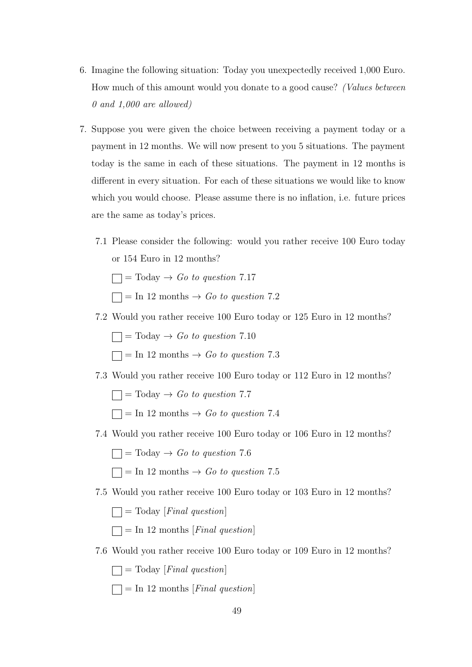- 6. Imagine the following situation: Today you unexpectedly received 1,000 Euro. How much of this amount would you donate to a good cause? (Values between 0 and 1,000 are allowed)
- 7. Suppose you were given the choice between receiving a payment today or a payment in 12 months. We will now present to you 5 situations. The payment today is the same in each of these situations. The payment in 12 months is different in every situation. For each of these situations we would like to know which you would choose. Please assume there is no inflation, i.e. future prices are the same as today's prices.
	- 7.1 Please consider the following: would you rather receive 100 Euro today or 154 Euro in 12 months?

 $\Box$  = Today  $\rightarrow$  *Go to question 7.17* 

 $\Box$  = In 12 months  $\rightarrow$  *Go to question* 7.2

7.2 Would you rather receive 100 Euro today or 125 Euro in 12 months?

 $\Box$  = Today  $\rightarrow$  *Go to question* 7.10

 $\Box$  = In 12 months  $\rightarrow$  *Go to question* 7.3

7.3 Would you rather receive 100 Euro today or 112 Euro in 12 months?

 $\Box$  = Today  $\rightarrow$  *Go to question* 7.7

- $\Box$  = In 12 months  $\rightarrow$  *Go to question* 7.4
- 7.4 Would you rather receive 100 Euro today or 106 Euro in 12 months?

 $\Box$  = Today  $\rightarrow$  *Go to question* 7.6

- $\Box$  = In 12 months  $\rightarrow$  *Go to question* 7.5
- 7.5 Would you rather receive 100 Euro today or 103 Euro in 12 months?

 $\Box$  = Today [*Final question*]

 $\Box$  = In 12 months [*Final question*]

7.6 Would you rather receive 100 Euro today or 109 Euro in 12 months?

 $\Box$  = Today [*Final question*]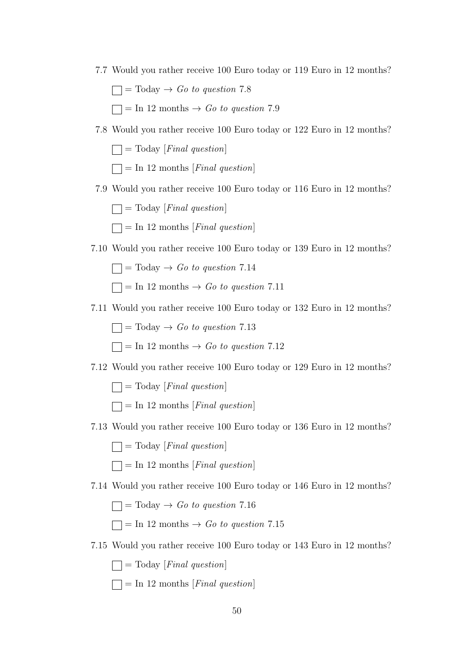7.7 Would you rather receive 100 Euro today or 119 Euro in 12 months?

 $\Box$  = Today  $\rightarrow$  *Go to question* 7.8

- $\Box$  = In 12 months  $\rightarrow$  *Go to question* 7.9
- 7.8 Would you rather receive 100 Euro today or 122 Euro in 12 months?

 $\Box$  = Today [*Final question*]

 $\Box$  = In 12 months [*Final question*]

7.9 Would you rather receive 100 Euro today or 116 Euro in 12 months?

 $\Box$  = Today [*Final question*]

 $\Box$  = In 12 months [*Final question*]

7.10 Would you rather receive 100 Euro today or 139 Euro in 12 months?

 $\Box$  = Today  $\rightarrow$  Go to question 7.14

 $\Box$  = In 12 months  $\rightarrow$  *Go to question* 7.11

7.11 Would you rather receive 100 Euro today or 132 Euro in 12 months?

 $\Box$  = Today  $\rightarrow$  *Go to question* 7.13

 $\Box$  = In 12 months  $\rightarrow$  *Go to question* 7.12

7.12 Would you rather receive 100 Euro today or 129 Euro in 12 months?

 $\Box$  = Today [*Final question*]

 $\Box$  = In 12 months [*Final question*]

7.13 Would you rather receive 100 Euro today or 136 Euro in 12 months?

 $\Box$  = Today [*Final question*]

 $\Box$  = In 12 months [*Final question*]

7.14 Would you rather receive 100 Euro today or 146 Euro in 12 months?

 $\Box$  = Today  $\rightarrow$  *Go to question* 7.16

- $\Box$  = In 12 months  $\rightarrow$  *Go to question* 7.15
- 7.15 Would you rather receive 100 Euro today or 143 Euro in 12 months?

 $\Box$  = Today [*Final question*]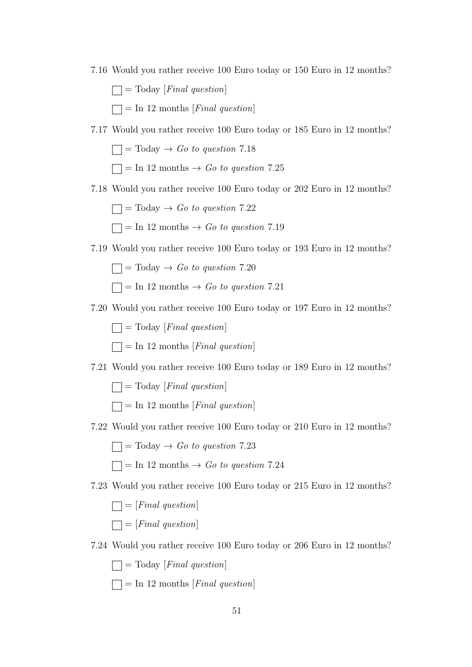7.16 Would you rather receive 100 Euro today or 150 Euro in 12 months?

 $\Box$  = Today [*Final question*]

 $\Box$  = In 12 months [*Final question*]

7.17 Would you rather receive 100 Euro today or 185 Euro in 12 months?

 $\Box$  = Today  $\rightarrow$  *Go to question* 7.18

 $\Box$  = In 12 months  $\rightarrow$  *Go to question* 7.25

7.18 Would you rather receive 100 Euro today or 202 Euro in 12 months?

 $\Box$  = Today  $\rightarrow$  *Go to question* 7.22

 $\Box$  = In 12 months  $\rightarrow$  *Go to question* 7.19

7.19 Would you rather receive 100 Euro today or 193 Euro in 12 months?

 $\Box$  = Today  $\rightarrow$  *Go to question* 7.20

- $\Box$  = In 12 months  $\rightarrow$  *Go to question* 7.21
- 7.20 Would you rather receive 100 Euro today or 197 Euro in 12 months?

 $\Box$  = Today [*Final question*]

 $\Box$  = In 12 months [*Final question*]

7.21 Would you rather receive 100 Euro today or 189 Euro in 12 months?

 $\Box$  = Today [*Final question*]

 $\Box$  = In 12 months [*Final question*]

7.22 Would you rather receive 100 Euro today or 210 Euro in 12 months?

 $\Box$  = Today  $\rightarrow$  *Go to question* 7.23

 $\Box$  = In 12 months  $\rightarrow$  *Go to question* 7.24

- 7.23 Would you rather receive 100 Euro today or 215 Euro in 12 months?
	- $\Box = [Final\ question]$

 $\Box = [Final\ question]$ 

7.24 Would you rather receive 100 Euro today or 206 Euro in 12 months?

 $\Box$  = Today [*Final question*]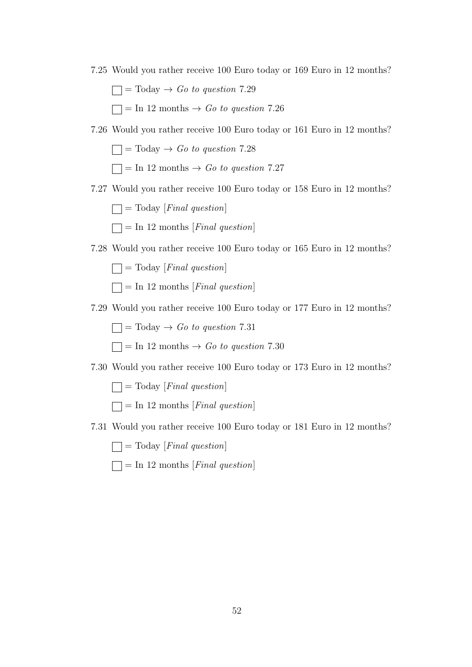7.25 Would you rather receive 100 Euro today or 169 Euro in 12 months?

 $\Box$  = Today  $\rightarrow$  *Go to question* 7.29

- $\Box$  = In 12 months  $\rightarrow$  *Go to question* 7.26
- 7.26 Would you rather receive 100 Euro today or 161 Euro in 12 months?

 $\Box$  = Today  $\rightarrow$  *Go to question* 7.28

 $\Box$  = In 12 months  $\rightarrow$  *Go to question* 7.27

7.27 Would you rather receive 100 Euro today or 158 Euro in 12 months?

 $\Box$  = Today [*Final question*]

 $\Box$  = In 12 months [*Final question*]

7.28 Would you rather receive 100 Euro today or 165 Euro in 12 months?

 $\Box$  = Today [*Final question*]

 $\Box$  = In 12 months [*Final question*]

7.29 Would you rather receive 100 Euro today or 177 Euro in 12 months?

 $\Box$  = Today  $\rightarrow$  Go to question 7.31

 $\Box$  = In 12 months  $\rightarrow$  *Go to question* 7.30

7.30 Would you rather receive 100 Euro today or 173 Euro in 12 months?

 $\Box$  = Today [*Final question*]

 $\Box$  = In 12 months [*Final question*]

7.31 Would you rather receive 100 Euro today or 181 Euro in 12 months?

 $\Box$  = Today [*Final question*]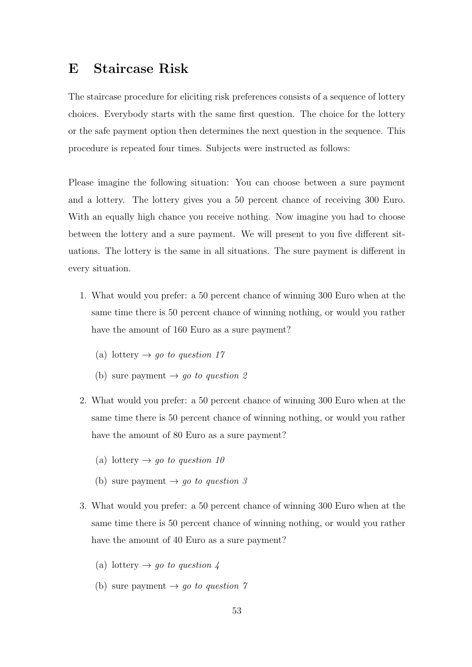## <span id="page-55-0"></span>E Staircase Risk

The staircase procedure for eliciting risk preferences consists of a sequence of lottery choices. Everybody starts with the same first question. The choice for the lottery or the safe payment option then determines the next question in the sequence. This procedure is repeated four times. Subjects were instructed as follows:

Please imagine the following situation: You can choose between a sure payment and a lottery. The lottery gives you a 50 percent chance of receiving 300 Euro. With an equally high chance you receive nothing. Now imagine you had to choose between the lottery and a sure payment. We will present to you five different situations. The lottery is the same in all situations. The sure payment is different in every situation.

- 1. What would you prefer: a 50 percent chance of winning 300 Euro when at the same time there is 50 percent chance of winning nothing, or would you rather have the amount of 160 Euro as a sure payment?
	- (a) lottery  $\rightarrow$  go to question 17
	- (b) sure payment  $\rightarrow$  go to question 2
- 2. What would you prefer: a 50 percent chance of winning 300 Euro when at the same time there is 50 percent chance of winning nothing, or would you rather have the amount of 80 Euro as a sure payment?
	- (a) lottery  $\rightarrow$  go to question 10
	- (b) sure payment  $\rightarrow qo$  to question 3
- 3. What would you prefer: a 50 percent chance of winning 300 Euro when at the same time there is 50 percent chance of winning nothing, or would you rather have the amount of 40 Euro as a sure payment?
	- (a) lottery  $\rightarrow$  go to question 4
	- (b) sure payment  $\rightarrow$  go to question 7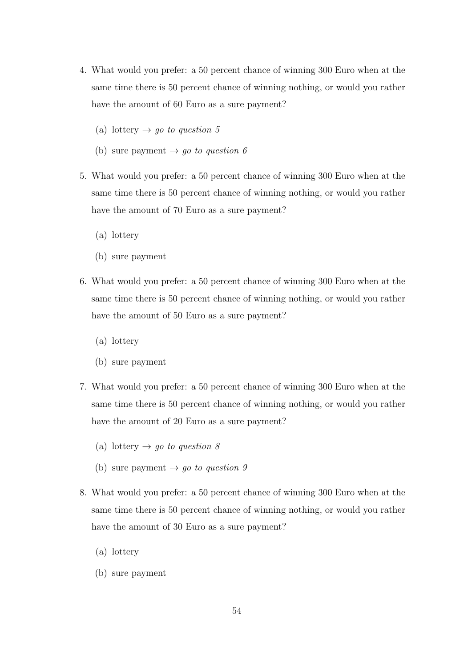- 4. What would you prefer: a 50 percent chance of winning 300 Euro when at the same time there is 50 percent chance of winning nothing, or would you rather have the amount of 60 Euro as a sure payment?
	- (a) lottery  $\rightarrow$  go to question 5
	- (b) sure payment  $\rightarrow$  go to question 6
- 5. What would you prefer: a 50 percent chance of winning 300 Euro when at the same time there is 50 percent chance of winning nothing, or would you rather have the amount of 70 Euro as a sure payment?
	- (a) lottery
	- (b) sure payment
- 6. What would you prefer: a 50 percent chance of winning 300 Euro when at the same time there is 50 percent chance of winning nothing, or would you rather have the amount of 50 Euro as a sure payment?
	- (a) lottery
	- (b) sure payment
- 7. What would you prefer: a 50 percent chance of winning 300 Euro when at the same time there is 50 percent chance of winning nothing, or would you rather have the amount of 20 Euro as a sure payment?
	- (a) lottery  $\rightarrow$  go to question 8
	- (b) sure payment  $\rightarrow qo$  to question 9
- 8. What would you prefer: a 50 percent chance of winning 300 Euro when at the same time there is 50 percent chance of winning nothing, or would you rather have the amount of 30 Euro as a sure payment?
	- (a) lottery
	- (b) sure payment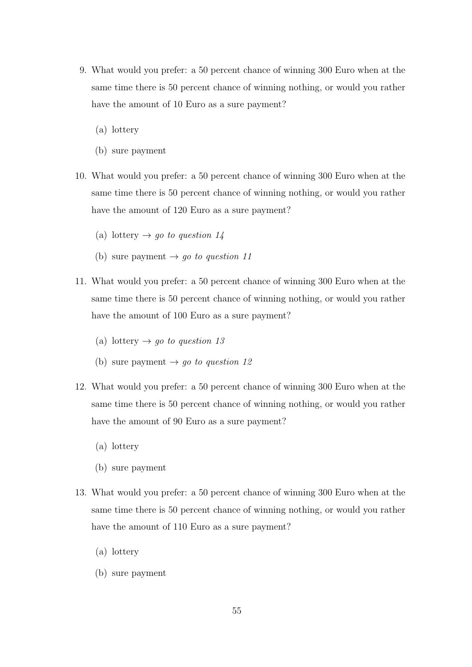- 9. What would you prefer: a 50 percent chance of winning 300 Euro when at the same time there is 50 percent chance of winning nothing, or would you rather have the amount of 10 Euro as a sure payment?
	- (a) lottery
	- (b) sure payment
- 10. What would you prefer: a 50 percent chance of winning 300 Euro when at the same time there is 50 percent chance of winning nothing, or would you rather have the amount of 120 Euro as a sure payment?
	- (a) lottery  $\rightarrow$  go to question 14
	- (b) sure payment  $\rightarrow$  go to question 11
- 11. What would you prefer: a 50 percent chance of winning 300 Euro when at the same time there is 50 percent chance of winning nothing, or would you rather have the amount of 100 Euro as a sure payment?
	- (a) lottery  $\rightarrow$  go to question 13
	- (b) sure payment  $\rightarrow$  go to question 12
- 12. What would you prefer: a 50 percent chance of winning 300 Euro when at the same time there is 50 percent chance of winning nothing, or would you rather have the amount of 90 Euro as a sure payment?
	- (a) lottery
	- (b) sure payment
- 13. What would you prefer: a 50 percent chance of winning 300 Euro when at the same time there is 50 percent chance of winning nothing, or would you rather have the amount of 110 Euro as a sure payment?
	- (a) lottery
	- (b) sure payment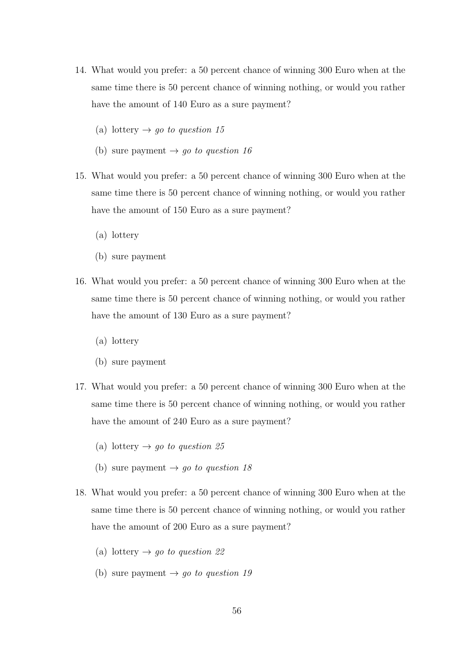- 14. What would you prefer: a 50 percent chance of winning 300 Euro when at the same time there is 50 percent chance of winning nothing, or would you rather have the amount of 140 Euro as a sure payment?
	- (a) lottery  $\rightarrow$  go to question 15
	- (b) sure payment  $\rightarrow$  go to question 16
- 15. What would you prefer: a 50 percent chance of winning 300 Euro when at the same time there is 50 percent chance of winning nothing, or would you rather have the amount of 150 Euro as a sure payment?
	- (a) lottery
	- (b) sure payment
- 16. What would you prefer: a 50 percent chance of winning 300 Euro when at the same time there is 50 percent chance of winning nothing, or would you rather have the amount of 130 Euro as a sure payment?
	- (a) lottery
	- (b) sure payment
- 17. What would you prefer: a 50 percent chance of winning 300 Euro when at the same time there is 50 percent chance of winning nothing, or would you rather have the amount of 240 Euro as a sure payment?
	- (a) lottery  $\rightarrow$  go to question 25
	- (b) sure payment  $\rightarrow$  go to question 18
- 18. What would you prefer: a 50 percent chance of winning 300 Euro when at the same time there is 50 percent chance of winning nothing, or would you rather have the amount of 200 Euro as a sure payment?
	- (a) lottery  $\rightarrow$  go to question 22
	- (b) sure payment  $\rightarrow$  go to question 19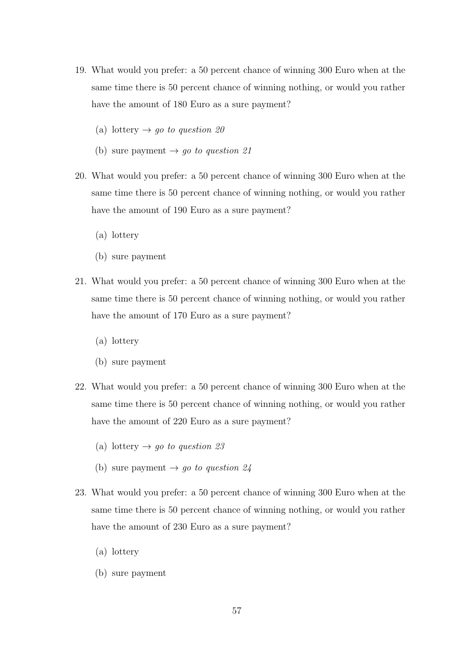- 19. What would you prefer: a 50 percent chance of winning 300 Euro when at the same time there is 50 percent chance of winning nothing, or would you rather have the amount of 180 Euro as a sure payment?
	- (a) lottery  $\rightarrow$  go to question 20
	- (b) sure payment  $\rightarrow$  go to question 21
- 20. What would you prefer: a 50 percent chance of winning 300 Euro when at the same time there is 50 percent chance of winning nothing, or would you rather have the amount of 190 Euro as a sure payment?
	- (a) lottery
	- (b) sure payment
- 21. What would you prefer: a 50 percent chance of winning 300 Euro when at the same time there is 50 percent chance of winning nothing, or would you rather have the amount of 170 Euro as a sure payment?
	- (a) lottery
	- (b) sure payment
- 22. What would you prefer: a 50 percent chance of winning 300 Euro when at the same time there is 50 percent chance of winning nothing, or would you rather have the amount of 220 Euro as a sure payment?
	- (a) lottery  $\rightarrow$  go to question 23
	- (b) sure payment  $\rightarrow$  go to question 24
- 23. What would you prefer: a 50 percent chance of winning 300 Euro when at the same time there is 50 percent chance of winning nothing, or would you rather have the amount of 230 Euro as a sure payment?
	- (a) lottery
	- (b) sure payment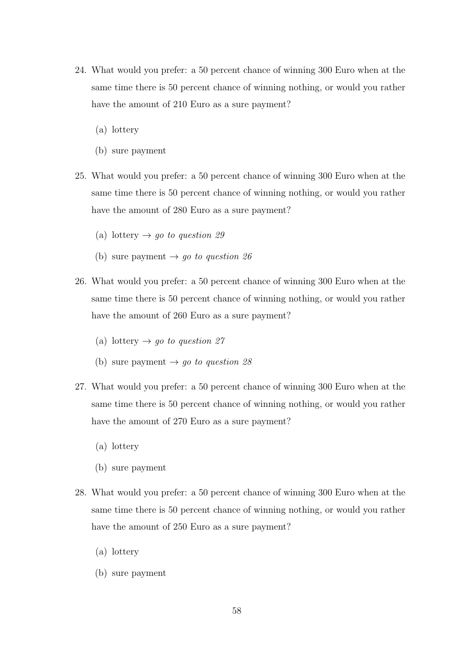- 24. What would you prefer: a 50 percent chance of winning 300 Euro when at the same time there is 50 percent chance of winning nothing, or would you rather have the amount of 210 Euro as a sure payment?
	- (a) lottery
	- (b) sure payment
- 25. What would you prefer: a 50 percent chance of winning 300 Euro when at the same time there is 50 percent chance of winning nothing, or would you rather have the amount of 280 Euro as a sure payment?
	- (a) lottery  $\rightarrow$  go to question 29
	- (b) sure payment  $\rightarrow$  go to question 26
- 26. What would you prefer: a 50 percent chance of winning 300 Euro when at the same time there is 50 percent chance of winning nothing, or would you rather have the amount of 260 Euro as a sure payment?
	- (a) lottery  $\rightarrow$  go to question 27
	- (b) sure payment  $\rightarrow$  go to question 28
- 27. What would you prefer: a 50 percent chance of winning 300 Euro when at the same time there is 50 percent chance of winning nothing, or would you rather have the amount of 270 Euro as a sure payment?
	- (a) lottery
	- (b) sure payment
- 28. What would you prefer: a 50 percent chance of winning 300 Euro when at the same time there is 50 percent chance of winning nothing, or would you rather have the amount of 250 Euro as a sure payment?
	- (a) lottery
	- (b) sure payment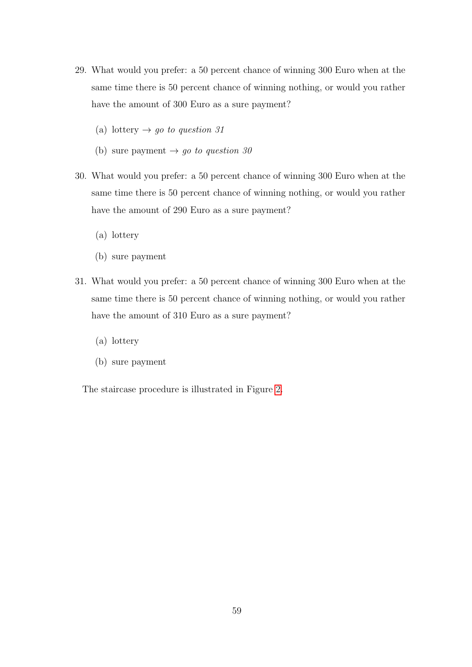- 29. What would you prefer: a 50 percent chance of winning 300 Euro when at the same time there is 50 percent chance of winning nothing, or would you rather have the amount of 300 Euro as a sure payment?
	- (a) lottery  $\rightarrow$  go to question 31
	- (b) sure payment  $\rightarrow$  go to question 30
- 30. What would you prefer: a 50 percent chance of winning 300 Euro when at the same time there is 50 percent chance of winning nothing, or would you rather have the amount of 290 Euro as a sure payment?
	- (a) lottery
	- (b) sure payment
- 31. What would you prefer: a 50 percent chance of winning 300 Euro when at the same time there is 50 percent chance of winning nothing, or would you rather have the amount of 310 Euro as a sure payment?
	- (a) lottery
	- (b) sure payment

The staircase procedure is illustrated in Figure [2.](#page-62-0)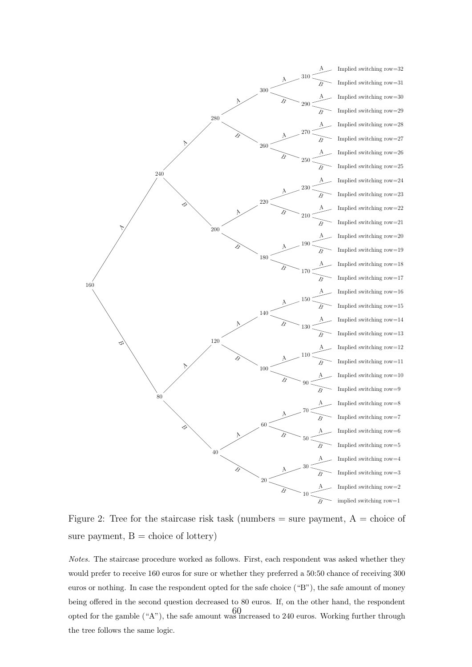

<span id="page-62-0"></span>Figure 2: Tree for the staircase risk task (numbers  $=$  sure payment,  $A =$  choice of sure payment,  $B =$  choice of lottery)

Notes. The staircase procedure worked as follows. First, each respondent was asked whether they would prefer to receive 160 euros for sure or whether they preferred a 50:50 chance of receiving 300 euros or nothing. In case the respondent opted for the safe choice ("B"), the safe amount of money being offered in the second question decreased to 80 euros. If, on the other hand, the respondent opted for the gamble ("A"), the safe amount was increased to 240 euros. Working further through 60the tree follows the same logic.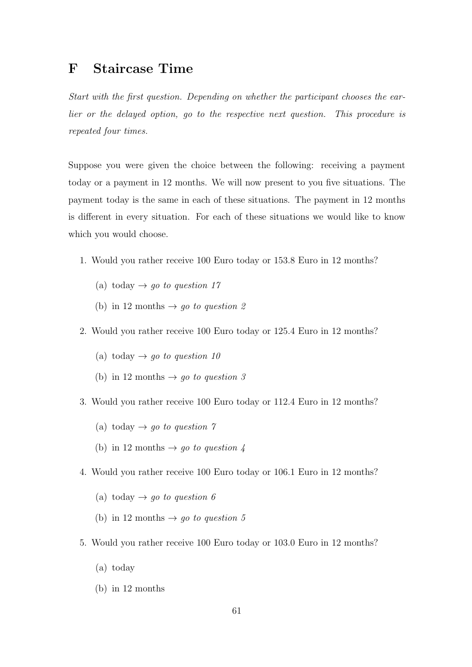# <span id="page-63-0"></span>F Staircase Time

Start with the first question. Depending on whether the participant chooses the earlier or the delayed option, go to the respective next question. This procedure is repeated four times.

Suppose you were given the choice between the following: receiving a payment today or a payment in 12 months. We will now present to you five situations. The payment today is the same in each of these situations. The payment in 12 months is different in every situation. For each of these situations we would like to know which you would choose.

- 1. Would you rather receive 100 Euro today or 153.8 Euro in 12 months?
	- (a) today  $\rightarrow$  go to question 17
	- (b) in 12 months  $\rightarrow$  go to question 2
- 2. Would you rather receive 100 Euro today or 125.4 Euro in 12 months?
	- (a) today  $\rightarrow$  go to question 10
	- (b) in 12 months  $\rightarrow$  go to question 3
- 3. Would you rather receive 100 Euro today or 112.4 Euro in 12 months?
	- (a) today  $\rightarrow$  go to question 7
	- (b) in 12 months  $\rightarrow$  go to question 4
- 4. Would you rather receive 100 Euro today or 106.1 Euro in 12 months?
	- (a) today  $\rightarrow$  go to question 6
	- (b) in 12 months  $\rightarrow$  go to question 5
- 5. Would you rather receive 100 Euro today or 103.0 Euro in 12 months?
	- (a) today
	- (b) in 12 months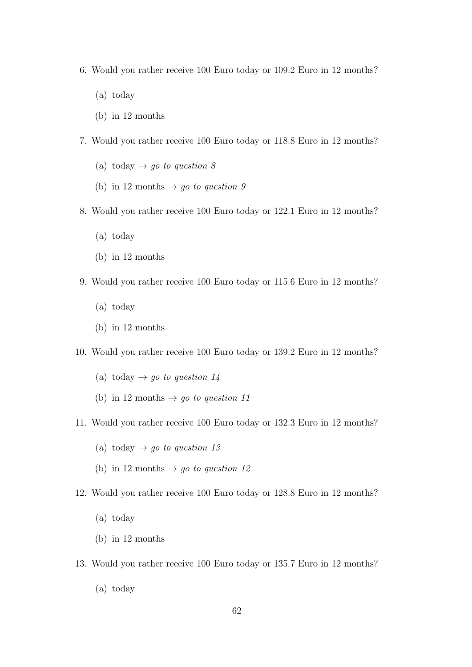- 6. Would you rather receive 100 Euro today or 109.2 Euro in 12 months?
	- (a) today
	- (b) in 12 months
- 7. Would you rather receive 100 Euro today or 118.8 Euro in 12 months?
	- (a) today  $\rightarrow$  go to question 8
	- (b) in 12 months  $\rightarrow$  go to question 9
- 8. Would you rather receive 100 Euro today or 122.1 Euro in 12 months?
	- (a) today
	- (b) in 12 months
- 9. Would you rather receive 100 Euro today or 115.6 Euro in 12 months?
	- (a) today
	- (b) in 12 months
- 10. Would you rather receive 100 Euro today or 139.2 Euro in 12 months?
	- (a) today  $\rightarrow$  go to question 14
	- (b) in 12 months  $\rightarrow$  go to question 11
- 11. Would you rather receive 100 Euro today or 132.3 Euro in 12 months?
	- (a) today  $\rightarrow$  go to question 13
	- (b) in 12 months  $\rightarrow$  go to question 12
- 12. Would you rather receive 100 Euro today or 128.8 Euro in 12 months?
	- (a) today
	- (b) in 12 months
- 13. Would you rather receive 100 Euro today or 135.7 Euro in 12 months?
	- (a) today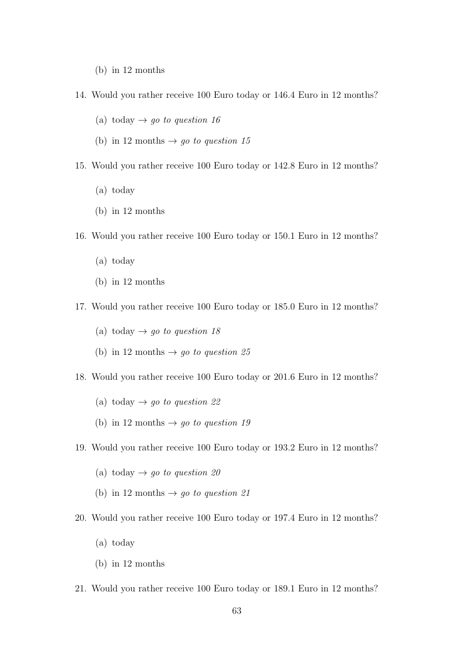- (b) in 12 months
- 14. Would you rather receive 100 Euro today or 146.4 Euro in 12 months?
	- (a) today  $\rightarrow$  go to question 16
	- (b) in 12 months  $\rightarrow$  go to question 15
- 15. Would you rather receive 100 Euro today or 142.8 Euro in 12 months?
	- (a) today
	- (b) in 12 months
- 16. Would you rather receive 100 Euro today or 150.1 Euro in 12 months?
	- (a) today
	- (b) in 12 months
- 17. Would you rather receive 100 Euro today or 185.0 Euro in 12 months?
	- (a) today  $\rightarrow$  go to question 18
	- (b) in 12 months  $\rightarrow$  go to question 25
- 18. Would you rather receive 100 Euro today or 201.6 Euro in 12 months?
	- (a) today  $\rightarrow$  go to question 22
	- (b) in 12 months  $\rightarrow$  go to question 19
- 19. Would you rather receive 100 Euro today or 193.2 Euro in 12 months?
	- (a) today  $\rightarrow$  go to question 20
	- (b) in 12 months  $\rightarrow$  go to question 21
- 20. Would you rather receive 100 Euro today or 197.4 Euro in 12 months?
	- (a) today
	- (b) in 12 months
- 21. Would you rather receive 100 Euro today or 189.1 Euro in 12 months?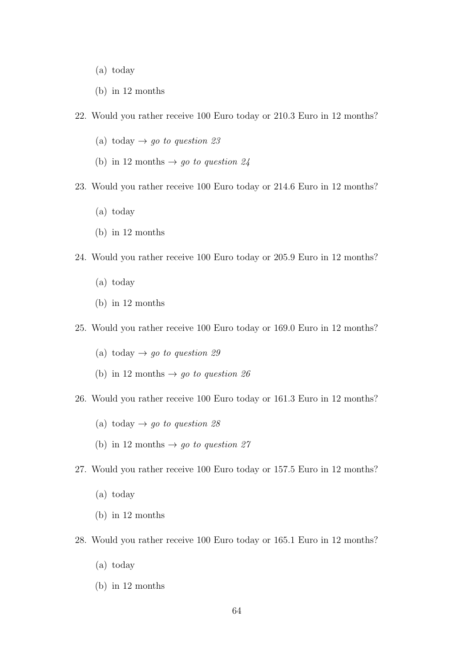- (a) today
- (b) in 12 months
- 22. Would you rather receive 100 Euro today or 210.3 Euro in 12 months?
	- (a) today  $\rightarrow$  go to question 23
	- (b) in 12 months  $\rightarrow$  go to question 24
- 23. Would you rather receive 100 Euro today or 214.6 Euro in 12 months?
	- (a) today
	- (b) in 12 months
- 24. Would you rather receive 100 Euro today or 205.9 Euro in 12 months?
	- (a) today
	- (b) in 12 months
- 25. Would you rather receive 100 Euro today or 169.0 Euro in 12 months?
	- (a) today  $\rightarrow$  go to question 29
	- (b) in 12 months  $\rightarrow$  go to question 26
- 26. Would you rather receive 100 Euro today or 161.3 Euro in 12 months?
	- (a) today  $\rightarrow$  go to question 28
	- (b) in 12 months  $\rightarrow$  go to question 27
- 27. Would you rather receive 100 Euro today or 157.5 Euro in 12 months?
	- (a) today
	- (b) in 12 months
- 28. Would you rather receive 100 Euro today or 165.1 Euro in 12 months?
	- (a) today
	- (b) in 12 months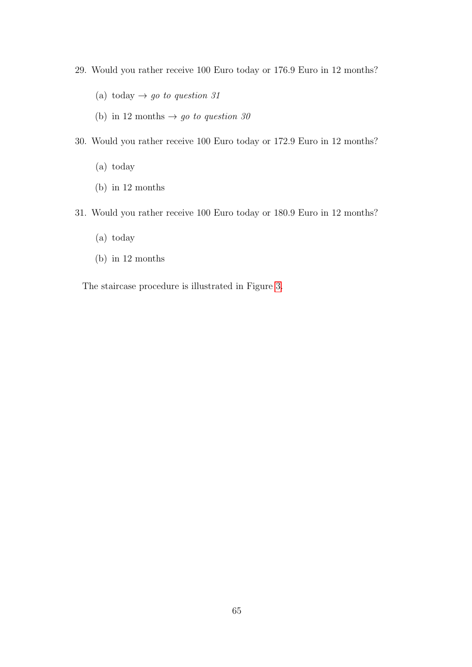- 29. Would you rather receive 100 Euro today or 176.9 Euro in 12 months?
	- (a) today  $\rightarrow$  go to question 31
	- (b) in 12 months  $\rightarrow$  go to question 30
- 30. Would you rather receive 100 Euro today or 172.9 Euro in 12 months?
	- (a) today
	- (b) in 12 months
- 31. Would you rather receive 100 Euro today or 180.9 Euro in 12 months?
	- (a) today
	- (b) in 12 months

The staircase procedure is illustrated in Figure [3.](#page-68-0)